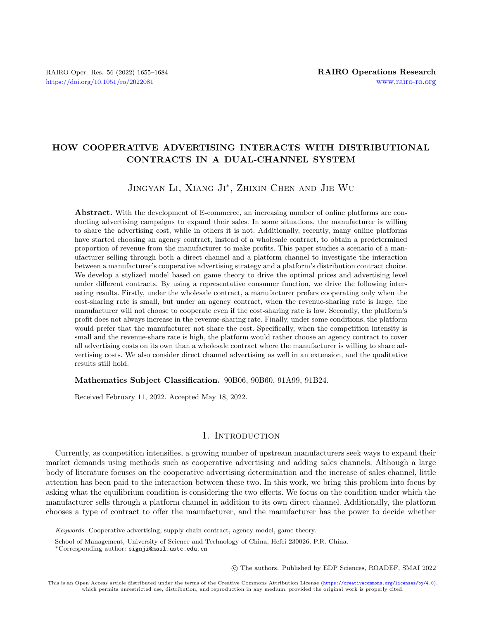# HOW COOPERATIVE ADVERTISING INTERACTS WITH DISTRIBUTIONAL CONTRACTS IN A DUAL-CHANNEL SYSTEM

# JINGYAN LI, XIANG JI<sup>\*</sup>, ZHIXIN CHEN AND JIE WU

Abstract. With the development of E-commerce, an increasing number of online platforms are conducting advertising campaigns to expand their sales. In some situations, the manufacturer is willing to share the advertising cost, while in others it is not. Additionally, recently, many online platforms have started choosing an agency contract, instead of a wholesale contract, to obtain a predetermined proportion of revenue from the manufacturer to make profits. This paper studies a scenario of a manufacturer selling through both a direct channel and a platform channel to investigate the interaction between a manufacturer's cooperative advertising strategy and a platform's distribution contract choice. We develop a stylized model based on game theory to drive the optimal prices and advertising level under different contracts. By using a representative consumer function, we drive the following interesting results. Firstly, under the wholesale contract, a manufacturer prefers cooperating only when the cost-sharing rate is small, but under an agency contract, when the revenue-sharing rate is large, the manufacturer will not choose to cooperate even if the cost-sharing rate is low. Secondly, the platform's profit does not always increase in the revenue-sharing rate. Finally, under some conditions, the platform would prefer that the manufacturer not share the cost. Specifically, when the competition intensity is small and the revenue-share rate is high, the platform would rather choose an agency contract to cover all advertising costs on its own than a wholesale contract where the manufacturer is willing to share advertising costs. We also consider direct channel advertising as well in an extension, and the qualitative results still hold.

Mathematics Subject Classification. 90B06, 90B60, 91A99, 91B24.

Received February 11, 2022. Accepted May 18, 2022.

# 1. INTRODUCTION

Currently, as competition intensifies, a growing number of upstream manufacturers seek ways to expand their market demands using methods such as cooperative advertising and adding sales channels. Although a large body of literature focuses on the cooperative advertising determination and the increase of sales channel, little attention has been paid to the interaction between these two. In this work, we bring this problem into focus by asking what the equilibrium condition is considering the two effects. We focus on the condition under which the manufacturer sells through a platform channel in addition to its own direct channel. Additionally, the platform chooses a type of contract to offer the manufacturer, and the manufacturer has the power to decide whether

○c The authors. Published by EDP Sciences, ROADEF, SMAI 2022

Keywords. Cooperative advertising, supply chain contract, agency model, game theory.

School of Management, University of Science and Technology of China, Hefei 230026, P.R. China.

<sup>\*</sup>Corresponding author: [signji@mail.ustc.edu.cn](mailto:signji@mail.ustc.edu.cn)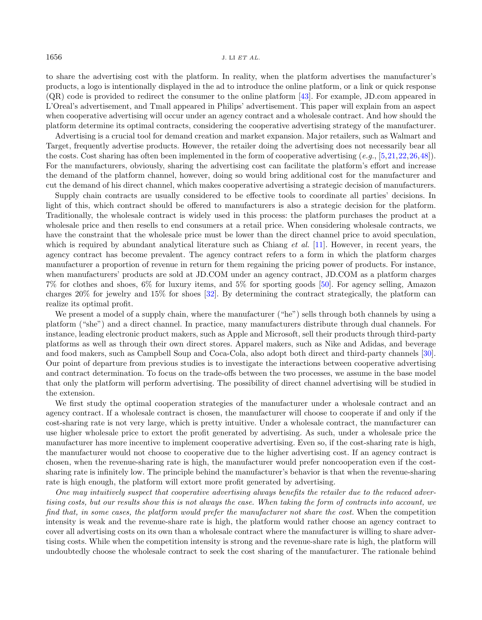to share the advertising cost with the platform. In reality, when the platform advertises the manufacturer's products, a logo is intentionally displayed in the ad to introduce the online platform, or a link or quick response (QR) code is provided to redirect the consumer to the online platform [\[43\]](#page-28-0). For example, JD.com appeared in L'Oreal's advertisement, and Tmall appeared in Philips' advertisement. This paper will explain from an aspect when cooperative advertising will occur under an agency contract and a wholesale contract. And how should the platform determine its optimal contracts, considering the cooperative advertising strategy of the manufacturer.

Advertising is a crucial tool for demand creation and market expansion. Major retailers, such as Walmart and Target, frequently advertise products. However, the retailer doing the advertising does not necessarily bear all the costs. Cost sharing has often been implemented in the form of cooperative advertising  $(e.g., [5, 21, 22, 26, 48])$  $(e.g., [5, 21, 22, 26, 48])$  $(e.g., [5, 21, 22, 26, 48])$  $(e.g., [5, 21, 22, 26, 48])$  $(e.g., [5, 21, 22, 26, 48])$  $(e.g., [5, 21, 22, 26, 48])$  $(e.g., [5, 21, 22, 26, 48])$  $(e.g., [5, 21, 22, 26, 48])$  $(e.g., [5, 21, 22, 26, 48])$  $(e.g., [5, 21, 22, 26, 48])$  $(e.g., [5, 21, 22, 26, 48])$ . For the manufacturers, obviously, sharing the advertising cost can facilitate the platform's effort and increase the demand of the platform channel, however, doing so would bring additional cost for the manufacturer and cut the demand of his direct channel, which makes cooperative advertising a strategic decision of manufacturers.

Supply chain contracts are usually considered to be effective tools to coordinate all parties' decisions. In light of this, which contract should be offered to manufacturers is also a strategic decision for the platform. Traditionally, the wholesale contract is widely used in this process: the platform purchases the product at a wholesale price and then resells to end consumers at a retail price. When considering wholesale contracts, we have the constraint that the wholesale price must be lower than the direct channel price to avoid speculation, which is required by abundant analytical literature such as Chiang *et al.* [\[11\]](#page-27-3). However, in recent years, the agency contract has become prevalent. The agency contract refers to a form in which the platform charges manufacturer a proportion of revenue in return for them regaining the pricing power of products. For instance, when manufacturers' products are sold at JD.COM under an agency contract, JD.COM as a platform charges 7% for clothes and shoes, 6% for luxury items, and 5% for sporting goods [\[50\]](#page-28-3). For agency selling, Amazon charges 20% for jewelry and 15% for shoes [\[32\]](#page-28-4). By determining the contract strategically, the platform can realize its optimal profit.

We present a model of a supply chain, where the manufacturer ("he") sells through both channels by using a platform ("she") and a direct channel. In practice, many manufacturers distribute through dual channels. For instance, leading electronic product makers, such as Apple and Microsoft, sell their products through third-party platforms as well as through their own direct stores. Apparel makers, such as Nike and Adidas, and beverage and food makers, such as Campbell Soup and Coca-Cola, also adopt both direct and third-party channels [\[30\]](#page-28-5). Our point of departure from previous studies is to investigate the interactions between cooperative advertising and contract determination. To focus on the trade-offs between the two processes, we assume in the base model that only the platform will perform advertising. The possibility of direct channel advertising will be studied in the extension.

We first study the optimal cooperation strategies of the manufacturer under a wholesale contract and an agency contract. If a wholesale contract is chosen, the manufacturer will choose to cooperate if and only if the cost-sharing rate is not very large, which is pretty intuitive. Under a wholesale contract, the manufacturer can use higher wholesale price to extort the profit generated by advertising. As such, under a wholesale price the manufacturer has more incentive to implement cooperative advertising. Even so, if the cost-sharing rate is high, the manufacturer would not choose to cooperative due to the higher advertising cost. If an agency contract is chosen, when the revenue-sharing rate is high, the manufacturer would prefer noncooperation even if the costsharing rate is infinitely low. The principle behind the manufacturer's behavior is that when the revenue-sharing rate is high enough, the platform will extort more profit generated by advertising.

One may intuitively suspect that cooperative advertising always benefits the retailer due to the reduced advertising costs, but our results show this is not always the case. When taking the form of contracts into account, we find that, in some cases, the platform would prefer the manufacturer not share the cost. When the competition intensity is weak and the revenue-share rate is high, the platform would rather choose an agency contract to cover all advertising costs on its own than a wholesale contract where the manufacturer is willing to share advertising costs. While when the competition intensity is strong and the revenue-share rate is high, the platform will undoubtedly choose the wholesale contract to seek the cost sharing of the manufacturer. The rationale behind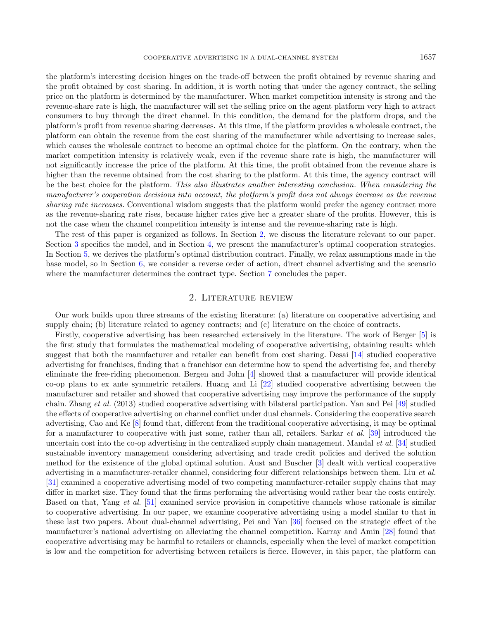the platform's interesting decision hinges on the trade-off between the profit obtained by revenue sharing and the profit obtained by cost sharing. In addition, it is worth noting that under the agency contract, the selling price on the platform is determined by the manufacturer. When market competition intensity is strong and the revenue-share rate is high, the manufacturer will set the selling price on the agent platform very high to attract consumers to buy through the direct channel. In this condition, the demand for the platform drops, and the platform's profit from revenue sharing decreases. At this time, if the platform provides a wholesale contract, the platform can obtain the revenue from the cost sharing of the manufacturer while advertising to increase sales, which causes the wholesale contract to become an optimal choice for the platform. On the contrary, when the market competition intensity is relatively weak, even if the revenue share rate is high, the manufacturer will not significantly increase the price of the platform. At this time, the profit obtained from the revenue share is higher than the revenue obtained from the cost sharing to the platform. At this time, the agency contract will be the best choice for the platform. This also illustrates another interesting conclusion. When considering the manufacturer's cooperation decisions into account, the platform's profit does not always increase as the revenue sharing rate increases. Conventional wisdom suggests that the platform would prefer the agency contract more as the revenue-sharing rate rises, because higher rates give her a greater share of the profits. However, this is not the case when the channel competition intensity is intense and the revenue-sharing rate is high.

The rest of this paper is organized as follows. In Section [2,](#page-2-0) we discuss the literature relevant to our paper. Section [3](#page-4-0) specifies the model, and in Section [4,](#page-5-0) we present the manufacturer's optimal cooperation strategies. In Section [5,](#page-10-0) we derives the platform's optimal distribution contract. Finally, we relax assumptions made in the base model, so in Section [6,](#page-12-0) we consider a reverse order of action, direct channel advertising and the scenario where the manufacturer determines the contract type. Section [7](#page-16-0) concludes the paper.

# 2. Literature review

<span id="page-2-0"></span>Our work builds upon three streams of the existing literature: (a) literature on cooperative advertising and supply chain; (b) literature related to agency contracts; and (c) literature on the choice of contracts.

Firstly, cooperative advertising has been researched extensively in the literature. The work of Berger [\[5\]](#page-27-0) is the first study that formulates the mathematical modeling of cooperative advertising, obtaining results which suggest that both the manufacturer and retailer can benefit from cost sharing. Desai [\[14\]](#page-27-4) studied cooperative advertising for franchises, finding that a franchisor can determine how to spend the advertising fee, and thereby eliminate the free-riding phenomenon. Bergen and John [\[4\]](#page-27-5) showed that a manufacturer will provide identical co-op plans to ex ante symmetric retailers. Huang and Li [\[22\]](#page-27-2) studied cooperative advertising between the manufacturer and retailer and showed that cooperative advertising may improve the performance of the supply chain. Zhang et al. (2013) studied cooperative advertising with bilateral participation. Yan and Pei [\[49\]](#page-28-6) studied the effects of cooperative advertising on channel conflict under dual channels. Considering the cooperative search advertising, Cao and Ke [\[8\]](#page-27-6) found that, different from the traditional cooperative advertising, it may be optimal for a manufacturer to cooperative with just some, rather than all, retailers. Sarkar et al. [\[39\]](#page-28-7) introduced the uncertain cost into the co-op advertising in the centralized supply chain management. Mandal *et al.* [\[34\]](#page-28-8) studied sustainable inventory management considering advertising and trade credit policies and derived the solution method for the existence of the global optimal solution. Aust and Buscher [\[3\]](#page-27-7) dealt with vertical cooperative advertising in a manufacturer-retailer channel, considering four different relationships between them. Liu et al. [\[31\]](#page-28-9) examined a cooperative advertising model of two competing manufacturer-retailer supply chains that may differ in market size. They found that the firms performing the advertising would rather bear the costs entirely. Based on that, Yang et al. [\[51\]](#page-28-10) examined service provision in competitive channels whose rationale is similar to cooperative advertising. In our paper, we examine cooperative advertising using a model similar to that in these last two papers. About dual-channel advertising, Pei and Yan [\[36\]](#page-28-11) focused on the strategic effect of the manufacturer's national advertising on alleviating the channel competition. Karray and Amin [\[28\]](#page-28-12) found that cooperative advertising may be harmful to retailers or channels, especially when the level of market competition is low and the competition for advertising between retailers is fierce. However, in this paper, the platform can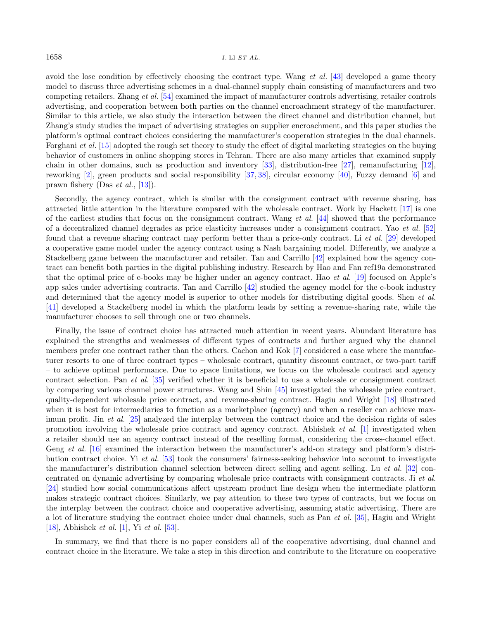avoid the lose condition by effectively choosing the contract type. Wang et al. [\[43\]](#page-28-0) developed a game theory model to discuss three advertising schemes in a dual-channel supply chain consisting of manufacturers and two competing retailers. Zhang et al. [\[54\]](#page-28-13) examined the impact of manufacturer controls advertising, retailer controls advertising, and cooperation between both parties on the channel encroachment strategy of the manufacturer. Similar to this article, we also study the interaction between the direct channel and distribution channel, but Zhang's study studies the impact of advertising strategies on supplier encroachment, and this paper studies the platform's optimal contract choices considering the manufacturer's cooperation strategies in the dual channels. Forghani et al. [\[15\]](#page-27-8) adopted the rough set theory to study the effect of digital marketing strategies on the buying behavior of customers in online shopping stores in Tehran. There are also many articles that examined supply chain in other domains, such as production and inventory [\[33\]](#page-28-14), distribution-free [\[27\]](#page-28-15), remanufacturing [\[12\]](#page-27-9), reworking [\[2\]](#page-27-10), green products and social responsibility [\[37,](#page-28-16) [38\]](#page-28-17), circular economy [\[40\]](#page-28-18), Fuzzy demand [\[6\]](#page-27-11) and prawn fishery (Das et al., [\[13\]](#page-27-12)).

Secondly, the agency contract, which is similar with the consignment contract with revenue sharing, has attracted little attention in the literature compared with the wholesale contract. Work by Hackett [\[17\]](#page-27-13) is one of the earliest studies that focus on the consignment contract. Wang *et al.* [\[44\]](#page-28-19) showed that the performance of a decentralized channel degrades as price elasticity increases under a consignment contract. Yao et al. [\[52\]](#page-28-20) found that a revenue sharing contract may perform better than a price-only contract. Li et al. [\[29\]](#page-28-21) developed a cooperative game model under the agency contract using a Nash bargaining model. Differently, we analyze a Stackelberg game between the manufacturer and retailer. Tan and Carrillo [\[42\]](#page-28-22) explained how the agency contract can benefit both parties in the digital publishing industry. Research by Hao and Fan ref19a demonstrated that the optimal price of e-books may be higher under an agency contract. Hao et al. [\[19\]](#page-27-14) focused on Apple's app sales under advertising contracts. Tan and Carrillo [\[42\]](#page-28-22) studied the agency model for the e-book industry and determined that the agency model is superior to other models for distributing digital goods. Shen *et al.* [\[41\]](#page-28-23) developed a Stackelberg model in which the platform leads by setting a revenue-sharing rate, while the manufacturer chooses to sell through one or two channels.

Finally, the issue of contract choice has attracted much attention in recent years. Abundant literature has explained the strengths and weaknesses of different types of contracts and further argued why the channel members prefer one contract rather than the others. Cachon and Kok [\[7\]](#page-27-15) considered a case where the manufacturer resorts to one of three contract types – wholesale contract, quantity discount contract, or two-part tariff – to achieve optimal performance. Due to space limitations, we focus on the wholesale contract and agency contract selection. Pan et al. [\[35\]](#page-28-24) verified whether it is beneficial to use a wholesale or consignment contract by comparing various channel power structures. Wang and Shin [\[45\]](#page-28-25) investigated the wholesale price contract, quality-dependent wholesale price contract, and revenue-sharing contract. Hagiu and Wright [\[18\]](#page-27-16) illustrated when it is best for intermediaries to function as a marketplace (agency) and when a reseller can achieve max-imum profit. Jin et al. [\[25\]](#page-28-26) analyzed the interplay between the contract choice and the decision rights of sales promotion involving the wholesale price contract and agency contract. Abhishek et al. [\[1\]](#page-27-17) investigated when a retailer should use an agency contract instead of the reselling format, considering the cross-channel effect. Geng et al. [\[16\]](#page-27-18) examined the interaction between the manufacturer's add-on strategy and platform's distribution contract choice. Yi et al. [\[53\]](#page-28-27) took the consumers' fairness-seeking behavior into account to investigate the manufacturer's distribution channel selection between direct selling and agent selling. Lu et al. [\[32\]](#page-28-4) concentrated on dynamic advertising by comparing wholesale price contracts with consignment contracts. Ji et al. [\[24\]](#page-27-19) studied how social communications affect upstream product line design when the intermediate platform makes strategic contract choices. Similarly, we pay attention to these two types of contracts, but we focus on the interplay between the contract choice and cooperative advertising, assuming static advertising. There are a lot of literature studying the contract choice under dual channels, such as Pan et al. [\[35\]](#page-28-24), Hagiu and Wright [\[18\]](#page-27-16), Abhishek *et al.* [\[1\]](#page-27-17), Yi *et al.* [\[53\]](#page-28-27).

In summary, we find that there is no paper considers all of the cooperative advertising, dual channel and contract choice in the literature. We take a step in this direction and contribute to the literature on cooperative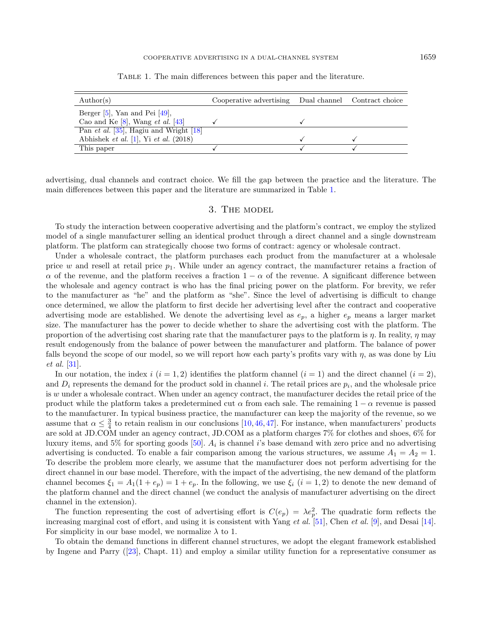| $\text{Author}(s)$                           | Cooperative advertising Dual channel Contract choice |  |
|----------------------------------------------|------------------------------------------------------|--|
| Berger $[5]$ , Yan and Pei $[49]$ ,          |                                                      |  |
| Cao and Ke $[8]$ , Wang <i>et al.</i> $[43]$ |                                                      |  |
| Pan et al. [35], Hagiu and Wright [18]       |                                                      |  |
| Abhishek et al. $[1]$ , Yi et al. $(2018)$   |                                                      |  |
| This paper                                   |                                                      |  |

<span id="page-4-1"></span>Table 1. The main differences between this paper and the literature.

advertising, dual channels and contract choice. We fill the gap between the practice and the literature. The main differences between this paper and the literature are summarized in Table [1.](#page-4-1)

# 3. The model

<span id="page-4-0"></span>To study the interaction between cooperative advertising and the platform's contract, we employ the stylized model of a single manufacturer selling an identical product through a direct channel and a single downstream platform. The platform can strategically choose two forms of contract: agency or wholesale contract.

Under a wholesale contract, the platform purchases each product from the manufacturer at a wholesale price w and resell at retail price  $p_1$ . While under an agency contract, the manufacturer retains a fraction of  $\alpha$  of the revenue, and the platform receives a fraction 1 –  $\alpha$  of the revenue. A significant difference between the wholesale and agency contract is who has the final pricing power on the platform. For brevity, we refer to the manufacturer as "he" and the platform as "she". Since the level of advertising is difficult to change once determined, we allow the platform to first decide her advertising level after the contract and cooperative advertising mode are established. We denote the advertising level as  $e_n$ , a higher  $e_n$  means a larger market size. The manufacturer has the power to decide whether to share the advertising cost with the platform. The proportion of the advertising cost sharing rate that the manufacturer pays to the platform is  $\eta$ . In reality,  $\eta$  may result endogenously from the balance of power between the manufacturer and platform. The balance of power falls beyond the scope of our model, so we will report how each party's profits vary with  $\eta$ , as was done by Liu et al. [\[31\]](#page-28-9).

In our notation, the index  $i$  ( $i = 1, 2$ ) identifies the platform channel ( $i = 1$ ) and the direct channel ( $i = 2$ ), and  $D_i$  represents the demand for the product sold in channel i. The retail prices are  $p_i$ , and the wholesale price is  $w$  under a wholesale contract. When under an agency contract, the manufacturer decides the retail price of the product while the platform takes a predetermined cut  $\alpha$  from each sale. The remaining  $1 - \alpha$  revenue is passed to the manufacturer. In typical business practice, the manufacturer can keep the majority of the revenue, so we assume that  $\alpha \leq \frac{3}{4}$  to retain realism in our conclusions [\[10,](#page-27-20)[46,](#page-28-28)[47\]](#page-28-29). For instance, when manufacturers' products are sold at JD.COM under an agency contract, JD.COM as a platform charges 7% for clothes and shoes, 6% for luxury items, and 5% for sporting goods [\[50\]](#page-28-3).  $A_i$  is channel i's base demand with zero price and no advertising advertising is conducted. To enable a fair comparison among the various structures, we assume  $A_1 = A_2 = 1$ . To describe the problem more clearly, we assume that the manufacturer does not perform advertising for the direct channel in our base model. Therefore, with the impact of the advertising, the new demand of the platform channel becomes  $\xi_1 = A_1(1 + e_p) = 1 + e_p$ . In the following, we use  $\xi_i$   $(i = 1, 2)$  to denote the new demand of the platform channel and the direct channel (we conduct the analysis of manufacturer advertising on the direct channel in the extension).

The function representing the cost of advertising effort is  $C(e_p) = \lambda e_p^2$ . The quadratic form reflects the increasing marginal cost of effort, and using it is consistent with Yang et al. [\[51\]](#page-28-10), Chen et al. [\[9\]](#page-27-21), and Desai [\[14\]](#page-27-4). For simplicity in our base model, we normalize  $\lambda$  to 1.

To obtain the demand functions in different channel structures, we adopt the elegant framework established by Ingene and Parry ([\[23\]](#page-27-22), Chapt. 11) and employ a similar utility function for a representative consumer as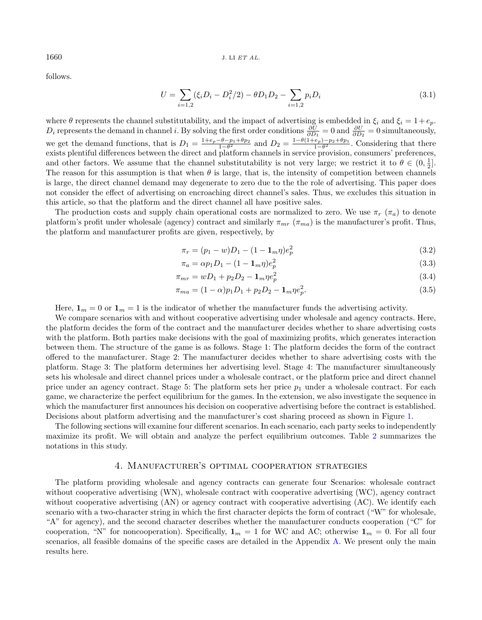follows.

$$
U = \sum_{i=1,2} (\xi_i D_i - D_i^2/2) - \theta D_1 D_2 - \sum_{i=1,2} p_i D_i
$$
\n(3.1)

where  $\theta$  represents the channel substitutability, and the impact of advertising is embedded in  $\xi_i$  and  $\xi_i = 1 + e_p$ .  $D_i$  represents the demand in channel i. By solving the first order conditions  $\frac{\partial U}{\partial D_1} = 0$  and  $\frac{\partial U}{\partial D_2} = 0$  simultaneously, we get the demand functions, that is  $D_1 = \frac{1+e_p-\theta-p_1+\theta p_2}{1-\theta^2}$  and  $D_2 = \frac{1-\theta(1+e_p)-p_2+\theta p_1}{1-\theta^2}$ . Considering that there exists plentiful differences between the direct and platform channels in service provision, consumers' preferences, and other factors. We assume that the channel substitutability is not very large; we restrict it to  $\theta \in (0, \frac{1}{2}]$ . The reason for this assumption is that when  $\theta$  is large, that is, the intensity of competition between channels is large, the direct channel demand may degenerate to zero due to the the role of advertising. This paper does not consider the effect of advertising on encroaching direct channel's sales. Thus, we excludes this situation in this article, so that the platform and the direct channel all have positive sales.

The production costs and supply chain operational costs are normalized to zero. We use  $\pi_r$  ( $\pi_a$ ) to denote platform's profit under wholesale (agency) contract and similarly  $\pi_{mr}$  ( $\pi_{mn}$ ) is the manufacturer's profit. Thus, the platform and manufacturer profits are given, respectively, by

$$
\pi_r = (p_1 - w)D_1 - (1 - \mathbf{1}_m \eta)e_p^2 \tag{3.2}
$$

$$
\pi_a = \alpha p_1 D_1 - (1 - \mathbf{1}_m \eta) e_p^2 \tag{3.3}
$$

$$
\pi_{mr} = wD_1 + p_2 D_2 - \mathbf{1}_m \eta e_p^2 \tag{3.4}
$$

$$
\pi_{ma} = (1 - \alpha)p_1D_1 + p_2D_2 - \mathbf{1}_m\eta e_p^2. \tag{3.5}
$$

Here,  $\mathbf{1}_m = 0$  or  $\mathbf{1}_m = 1$  is the indicator of whether the manufacturer funds the advertising activity.

We compare scenarios with and without cooperative advertising under wholesale and agency contracts. Here, the platform decides the form of the contract and the manufacturer decides whether to share advertising costs with the platform. Both parties make decisions with the goal of maximizing profits, which generates interaction between them. The structure of the game is as follows. Stage 1: The platform decides the form of the contract offered to the manufacturer. Stage 2: The manufacturer decides whether to share advertising costs with the platform. Stage 3: The platform determines her advertising level. Stage 4: The manufacturer simultaneously sets his wholesale and direct channel prices under a wholesale contract, or the platform price and direct channel price under an agency contract. Stage 5: The platform sets her price  $p_1$  under a wholesale contract. For each game, we characterize the perfect equilibrium for the games. In the extension, we also investigate the sequence in which the manufacturer first announces his decision on cooperative advertising before the contract is established. Decisions about platform advertising and the manufacturer's cost sharing proceed as shown in Figure [1.](#page-6-0)

The following sections will examine four different scenarios. In each scenario, each party seeks to independently maximize its profit. We will obtain and analyze the perfect equilibrium outcomes. Table [2](#page-6-1) summarizes the notations in this study.

# 4. Manufacturer's optimal cooperation strategies

<span id="page-5-0"></span>The platform providing wholesale and agency contracts can generate four Scenarios: wholesale contract without cooperative advertising (WN), wholesale contract with cooperative advertising (WC), agency contract without cooperative advertising (AN) or agency contract with cooperative advertising (AC). We identify each scenario with a two-character string in which the first character depicts the form of contract ("W" for wholesale, "A" for agency), and the second character describes whether the manufacturer conducts cooperation ("C" for cooperation, "N" for noncooperation). Specifically,  $\mathbf{1}_m = 1$  for WC and AC; otherwise  $\mathbf{1}_m = 0$ . For all four scenarios, all feasible domains of the specific cases are detailed in the Appendix [A.](#page-17-0) We present only the main results here.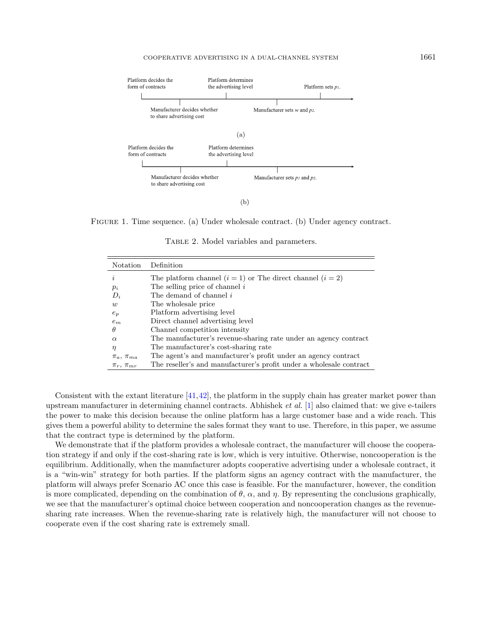<span id="page-6-1"></span><span id="page-6-0"></span>

Figure 1. Time sequence. (a) Under wholesale contract. (b) Under agency contract.

TABLE 2. Model variables and parameters.

| Notation             | Definition                                                          |
|----------------------|---------------------------------------------------------------------|
| i                    | The platform channel $(i = 1)$ or The direct channel $(i = 2)$      |
| $p_i$                | The selling price of channel $i$                                    |
| $D_i$                | The demand of channel i                                             |
| w                    | The wholesale price                                                 |
| $e_p$                | Platform advertising level                                          |
| $e_m$                | Direct channel advertising level                                    |
| H                    | Channel competition intensity                                       |
| $\alpha$             | The manufacturer's revenue-sharing rate under an agency contract    |
| η                    | The manufacturer's cost-sharing rate                                |
| $\pi_a$ , $\pi_{ma}$ | The agent's and manufacturer's profit under an agency contract      |
| $\pi_r$ , $\pi_{mr}$ | The reseller's and manufacturer's profit under a wholesale contract |

Consistent with the extant literature [\[41,](#page-28-23)[42\]](#page-28-22), the platform in the supply chain has greater market power than upstream manufacturer in determining channel contracts. Abhishek *et al.* [\[1\]](#page-27-17) also claimed that: we give e-tailers the power to make this decision because the online platform has a large customer base and a wide reach. This gives them a powerful ability to determine the sales format they want to use. Therefore, in this paper, we assume that the contract type is determined by the platform.

We demonstrate that if the platform provides a wholesale contract, the manufacturer will choose the cooperation strategy if and only if the cost-sharing rate is low, which is very intuitive. Otherwise, noncooperation is the equilibrium. Additionally, when the manufacturer adopts cooperative advertising under a wholesale contract, it is a "win-win" strategy for both parties. If the platform signs an agency contract with the manufacturer, the platform will always prefer Scenario AC once this case is feasible. For the manufacturer, however, the condition is more complicated, depending on the combination of  $\theta$ ,  $\alpha$ , and  $\eta$ . By representing the conclusions graphically, we see that the manufacturer's optimal choice between cooperation and noncooperation changes as the revenuesharing rate increases. When the revenue-sharing rate is relatively high, the manufacturer will not choose to cooperate even if the cost sharing rate is extremely small.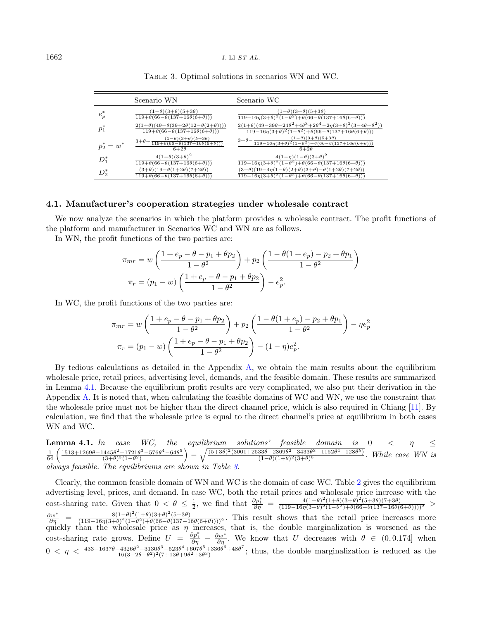|             | Scenario WN                                                                                                          | Scenario WC                                                                                                                                                                                                        |
|-------------|----------------------------------------------------------------------------------------------------------------------|--------------------------------------------------------------------------------------------------------------------------------------------------------------------------------------------------------------------|
| $e_p^*$     | $(1-\theta)(3+\theta)(5+3\theta)$<br>$119 + \theta(66 - \theta(137 + 16\theta(6 + \theta)))$                         | $(1-\theta)(3+\theta)(5+3\theta)$<br>$119-16\eta(3+\theta)^2(1-\theta^2)+\theta(66-\theta(137+16\theta(6+\theta)))$                                                                                                |
| $p_1^*$     | $2(1+\theta)(49-\theta(39+2\theta(12-\theta(2+\theta))))$<br>$119 + \theta(66 - \theta(137 + 16\theta(6 + \theta)))$ | $2(1+\theta)(49-39\theta-24\theta^2+4\theta^3+2\theta^4-2\eta(3+\theta)^2(3-4\theta+\theta^2))$<br>$119-16\eta(3+\theta)^2(1-\theta^2)+\theta(66-\theta(137+16\theta(6+\theta)))$                                  |
| $p_2^*=w^*$ | $3+\theta+\frac{(1-\theta)(3+\theta)(5+3\theta)}{119+\theta(66-\theta(137+16\theta(6+\theta)))}$<br>$6+2\theta$      | $3+\theta-\frac{(1-\theta)(3+\theta)(5+3\theta)}{119-16\eta(3+\theta)^2(1-\theta^2)+\theta(66-\theta(137+16\theta(6+\theta)))}$<br>$6+2\theta$                                                                     |
| $D_1^*$     | $4(1-\theta)(3+\theta)^2$<br>$119 + \theta(66 - \theta(137 + 16\theta(6 + \theta)))$                                 | $4(1-\eta)(1-\theta)(3+\theta)^2$<br>$\frac{119-16\eta(3+\theta)^2(1-\theta^2)+\theta(66-\theta(137+16\theta(6+\theta)))}{2}$                                                                                      |
| $D_2^\ast$  | $(3+\theta)(19-\theta(1+2\theta)(7+2\theta))$<br>$119 + \theta(66 - \theta(137 + 16\theta(6 + \theta)))$             | $(3+\theta)(19-4\eta(1-\theta)(2+\theta)(3+\theta)-\theta(1+2\theta)(7+2\theta))$<br>$\frac{119-16\eta(3+\theta)^2(1-\theta^2)+\theta(66-\theta(137+16\theta(6+\theta)))}{2(16-\theta^2(137+16\theta(6+\theta)))}$ |

<span id="page-7-1"></span>Table 3. Optimal solutions in scenarios WN and WC.

#### 4.1. Manufacturer's cooperation strategies under wholesale contract

We now analyze the scenarios in which the platform provides a wholesale contract. The profit functions of the platform and manufacturer in Scenarios WC and WN are as follows.

In WN, the profit functions of the two parties are:

$$
\pi_{mr} = w \left( \frac{1 + e_p - \theta - p_1 + \theta p_2}{1 - \theta^2} \right) + p_2 \left( \frac{1 - \theta (1 + e_p) - p_2 + \theta p_1}{1 - \theta^2} \right)
$$

$$
\pi_r = (p_1 - w) \left( \frac{1 + e_p - \theta - p_1 + \theta p_2}{1 - \theta^2} \right) - e_p^2.
$$

In WC, the profit functions of the two parties are:

$$
\pi_{mr} = w \left( \frac{1 + e_p - \theta - p_1 + \theta p_2}{1 - \theta^2} \right) + p_2 \left( \frac{1 - \theta (1 + e_p) - p_2 + \theta p_1}{1 - \theta^2} \right) - \eta e_p^2
$$

$$
\pi_r = (p_1 - w) \left( \frac{1 + e_p - \theta - p_1 + \theta p_2}{1 - \theta^2} \right) - (1 - \eta) e_p^2.
$$

By tedious calculations as detailed in the Appendix [A,](#page-17-0) we obtain the main results about the equilibrium wholesale price, retail prices, advertising level, demands, and the feasible domain. These results are summarized in Lemma [4.1.](#page-7-0) Because the equilibrium profit results are very complicated, we also put their derivation in the Appendix [A.](#page-17-0) It is noted that, when calculating the feasible domains of WC and WN, we use the constraint that the wholesale price must not be higher than the direct channel price, which is also required in Chiang [\[11\]](#page-27-3). By calculation, we find that the wholesale price is equal to the direct channel's price at equilibrium in both cases WN and WC.

<span id="page-7-0"></span>**Lemma 4.1.** In case WC, the equilibrium solutions' feasible domain is  $0 < \eta \leq$  $\frac{1}{64} \left( \frac{1513 + 1269\theta - 1445\theta^2 - 1721\theta^3 - 576\theta^4 - 64\theta^5}{(3+\theta)^3(1-\theta^2)} \right.$  $\frac{(445\theta^2-1721\theta^3-576\theta^4-64\theta^5)}{(3+\theta)^3(1-\theta^2)} -\sqrt{\frac{(5+3\theta)^2(3001+2533\theta-2869\theta^2-3433\theta^3-1152\theta^4-128\theta^5)}{(1-\theta)(1+\theta)^2(3+\theta)^6}}$  $\frac{33\theta-2869\theta^2-3433\theta^9-1152\theta^4-128\theta^9}{(1-\theta)(1+\theta)^2(3+\theta)^6}$ . While case WN is always feasible. The equilibriums are shown in Table [3.](#page-7-1)

Clearly, the common feasible domain of WN and WC is the domain of case WC. Table [2](#page-6-1) gives the equilibrium advertising level, prices, and demand. In case WC, both the retail prices and wholesale price increase with the cost-sharing rate. Given that  $0 < \theta \le \frac{1}{2}$ , we find that  $\frac{\partial p_1^*}{\partial \eta} = \frac{4(1-\theta)^2(1+\theta)(3+\theta)^2(5+3\theta)}{(119-16\eta(3+\theta)^2(1-\theta^2)+\theta(66-\theta(137-16\theta))}$  $\frac{4(1-\theta) (1+\theta) (3+\theta) (3+3\theta) (7+3\theta)}{(119-16\eta(3+\theta)^2(1-\theta^2)+\theta(66-\theta(137-16\theta(6+\theta))))^2} >$  $\frac{\partial w^*}{\partial \eta}$  =  $\frac{8(1-\theta)^2(1+\theta)(3+\theta)^2(5+3\theta)}{(119-16\eta(3+\theta)^2(1-\theta^2)+\theta(66-\theta(137-1)))}$  $\frac{8(1-\theta)}{(119-16\eta(3+\theta)^2(1-\theta^2)+\theta(66-\theta(137-16\theta(6+\theta))))^2}$ . This result shows that the retail price increases more quickly than the wholesale price as  $\eta$  increases, that is, the double marginalization is worsened as the cost-sharing rate grows. Define  $U = \frac{\partial p_1^*}{\partial \eta} - \frac{\partial w^*}{\partial \eta}$ . We know that U decreases with  $\theta \in (0, 0.174]$  when  $0 < \eta < \frac{433 - 1637\theta - 4326\theta^2 - 3130\theta^3 - 523\theta^4 + 607\theta^5 + 336\theta^6 + 48\theta^7}{16(3 - 2\theta - \theta^2)^2(7 + 13\theta + 9\theta^2 + 3\theta^3)}$  $\frac{14326\theta^2 - 3130\theta^3 - 523\theta^3 + 607\theta^9 + 336\theta^9 + 48\theta^7}{16(3-2\theta-\theta^2)^2(7+13\theta+9\theta^2+3\theta^3)}$ ; thus, the double marginalization is reduced as the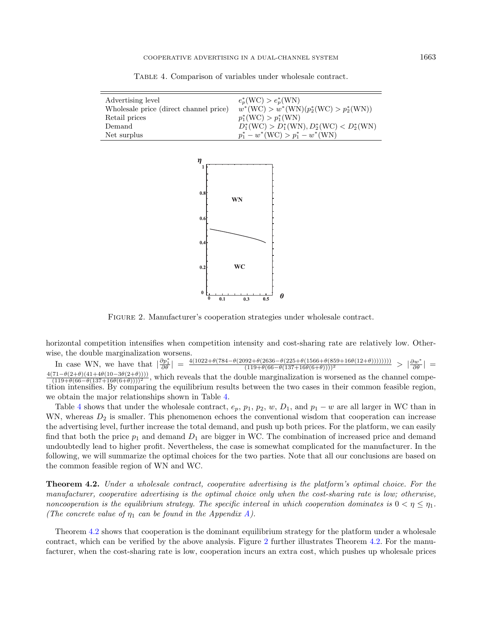| Advertising level                      | $e_p^*(WC) > e_p^*(WN)$                        |
|----------------------------------------|------------------------------------------------|
| Wholesale price (direct channel price) | $w^*(WC) > w^*(WN)(p_2^*(WC) > p_2^*(WN))$     |
| Retail prices                          | $p_1^*(WC) > p_1^*(WN)$                        |
| Demand                                 | $D_1^*(WC) > D_1^*(WN), D_2^*(WC) < D_2^*(WN)$ |
| Net surplus                            | $p_1^* - w^*$ (WC) > $p_1^* - w^*$ (WN)        |

<span id="page-8-0"></span>Table 4. Comparison of variables under wholesale contract.

<span id="page-8-2"></span>

Figure 2. Manufacturer's cooperation strategies under wholesale contract.

horizontal competition intensifies when competition intensity and cost-sharing rate are relatively low. Otherwise, the double marginalization worsens.

In case WN, we have that  $\left|\frac{\partial p_1^*}{\partial \theta}\right| = \frac{4(1022 + \theta(784 - \theta(2092 + \theta(2636 - \theta(225 + \theta(1566 + \theta(859 + 16\theta(12 + \theta))))))))}{(119 + \theta(66 - \theta(137 + 16\theta(6 + \theta)))))^2} > \left|\frac{\partial w^*}{\partial \theta}\right|$  $\frac{4(71-\theta(2+\theta)(41+4\theta(10-3\theta(2+\theta))))}{(119+\theta(66-\theta(137+16\theta(6+\theta))))^2}$ , which reveals that the double marginalization is worsened as the channel competition intensifies. By comparing the equilibrium results between the two cases in their common feasible region, we obtain the major relationships shown in Table [4.](#page-8-0)

Table [4](#page-8-0) shows that under the wholesale contract,  $e_p$ ,  $p_1$ ,  $p_2$ ,  $w$ ,  $D_1$ , and  $p_1 - w$  are all larger in WC than in WN, whereas  $D_2$  is smaller. This phenomenon echoes the conventional wisdom that cooperation can increase the advertising level, further increase the total demand, and push up both prices. For the platform, we can easily find that both the price  $p_1$  and demand  $D_1$  are bigger in WC. The combination of increased price and demand undoubtedly lead to higher profit. Nevertheless, the case is somewhat complicated for the manufacturer. In the following, we will summarize the optimal choices for the two parties. Note that all our conclusions are based on the common feasible region of WN and WC.

<span id="page-8-1"></span>Theorem 4.2. Under a wholesale contract, cooperative advertising is the platform's optimal choice. For the manufacturer, cooperative advertising is the optimal choice only when the cost-sharing rate is low; otherwise, noncooperation is the equilibrium strategy. The specific interval in which cooperation dominates is  $0 < \eta \leq \eta_1$ . (The concrete value of  $\eta_1$  can be found in the Appendix [A\)](#page-17-0).

Theorem [4.2](#page-8-1) shows that cooperation is the dominant equilibrium strategy for the platform under a wholesale contract, which can be verified by the above analysis. Figure [2](#page-8-2) further illustrates Theorem [4.2.](#page-8-1) For the manufacturer, when the cost-sharing rate is low, cooperation incurs an extra cost, which pushes up wholesale prices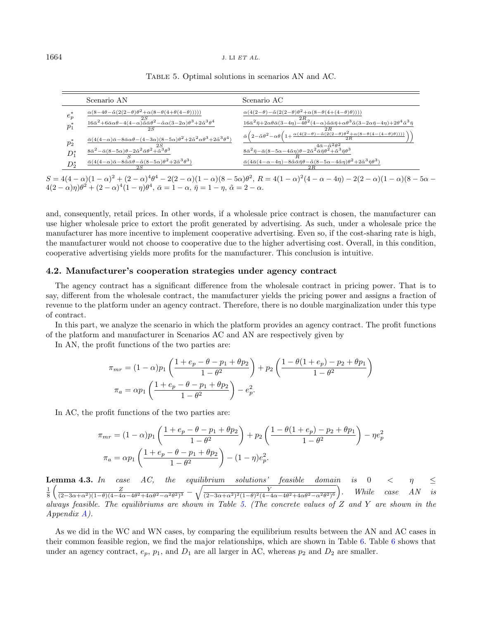| Scenario AN                                                                                                                                                                                                       | Scenario AC                                                                                                                                                                                                                       |
|-------------------------------------------------------------------------------------------------------------------------------------------------------------------------------------------------------------------|-----------------------------------------------------------------------------------------------------------------------------------------------------------------------------------------------------------------------------------|
| $\alpha(8-4\theta-\tilde\alpha(2(2-\theta)\theta^2+\alpha(8-\theta(4+\theta(4-\theta))))))$                                                                                                                       | $\alpha(4(2-\theta)-\tilde{\alpha}(2(2-\theta)\theta^2+\alpha(8-\theta(4+(4-\theta)\theta))))$                                                                                                                                    |
| $\frac{16\bar{\alpha}^2 + 6\bar{\alpha}\alpha\theta - 4(4-\alpha)\tilde{\alpha}\bar{\alpha}\theta^2 - \tilde{\alpha}\alpha(3-2\alpha)\theta^3 + 2\tilde{\alpha}^3\theta^4}{16\bar{\alpha}^2 + 2\alpha^4\theta^4}$ | $2R_\odot$<br>$16\bar{\alpha}^2\bar{\eta}+2\alpha\theta\bar{\alpha}(3-4\eta)-4\theta^2(4-\alpha)\tilde{\alpha}\bar{\alpha}\bar{\eta}+\alpha\theta^3\tilde{\alpha}(3-2\alpha\bar{\eta}-4\eta)+2\theta^4\tilde{\alpha}^3\bar{\eta}$ |
|                                                                                                                                                                                                                   | 2R<br>$\bar{\alpha}\left(2-\tilde{\alpha}\theta^2-\alpha\theta\left(1+\frac{\alpha(4(2-\theta)-\tilde{\alpha(2(2-\theta)}\theta^2+\alpha(8-\theta(4-(4-\theta)\theta))))}{2}\right.\right)$                                       |
| ${\bar\alpha(4(4-\alpha){\bar\alpha}-8{\bar\alpha}\alpha\theta-(4-3\alpha)(8-5\alpha)\theta^2}+2{\tilde\alpha}^2\alpha\theta^3+2{\tilde\alpha}^3\theta^4)$<br>2S                                                  | $4\bar{\alpha}-\tilde{\alpha}^2\bar{\theta}^2$                                                                                                                                                                                    |
| $\frac{8\bar{\alpha}^2-\bar{\alpha}(8-5\alpha)\theta-2\tilde{\alpha}^2\bar{\alpha}\theta^2+\tilde{\alpha}^3\theta^3}{6\bar{\alpha}^2+\tilde{\alpha}^3\theta^3}$<br>$D_1^*$                                        | $\frac{8\bar{\alpha}^2\bar{\eta}-\bar{\alpha}(8-5\alpha-4\tilde{\alpha}\eta)\theta-2\tilde{\alpha}^2\bar{\alpha}\bar{\eta}\theta^2+\tilde{\alpha}^3\bar{\eta}\theta^3}{}$                                                         |
| $\bar{\alpha}(4(4-\alpha) \bar{\alpha} - 8 \tilde{\alpha} \bar{\alpha} \theta - \tilde{\alpha} (8-5\alpha) \theta^2 + 2 \tilde{\alpha}^3 \theta^3)$<br>$D_2^*$<br>2S                                              | $\bar{\alpha}(4\bar{\alpha}(4-\alpha-4\eta)-8\bar{\alpha}\bar{\bar{\alpha}}\bar{\eta}\theta-\tilde{\alpha}(8-5\alpha-4\tilde{\alpha}\eta)\theta^2+2\tilde{\alpha}^3\bar{\eta}\theta^3)$<br>2R                                     |

<span id="page-9-0"></span>Table 5. Optimal solutions in scenarios AN and AC.

 $S = 4(4-\alpha)(1-\alpha)^2 + (2-\alpha)^4\theta^4 - 2(2-\alpha)(1-\alpha)(8-5\alpha)\theta^2$ ,  $R = 4(1-\alpha)^2(4-\alpha-4\eta) - 2(2-\alpha)(1-\alpha)(8-5\alpha-1)$  $4(2-\alpha)\eta)\theta^2 + (2-\alpha)^4(1-\eta)\theta^4, \, \bar{\alpha} = 1-\alpha, \, \bar{\eta} = 1-\eta, \, \tilde{\alpha} = 2-\alpha.$ 

and, consequently, retail prices. In other words, if a wholesale price contract is chosen, the manufacturer can use higher wholesale price to extort the profit generated by advertising. As such, under a wholesale price the manufacturer has more incentive to implement cooperative advertising. Even so, if the cost-sharing rate is high, the manufacturer would not choose to cooperative due to the higher advertising cost. Overall, in this condition, cooperative advertising yields more profits for the manufacturer. This conclusion is intuitive.

#### 4.2. Manufacturer's cooperation strategies under agency contract

The agency contract has a significant difference from the wholesale contract in pricing power. That is to say, different from the wholesale contract, the manufacturer yields the pricing power and assigns a fraction of revenue to the platform under an agency contract. Therefore, there is no double marginalization under this type of contract.

In this part, we analyze the scenario in which the platform provides an agency contract. The profit functions of the platform and manufacturer in Scenarios AC and AN are respectively given by

In AN, the profit functions of the two parties are:

$$
\pi_{mr} = (1 - \alpha)p_1 \left( \frac{1 + e_p - \theta - p_1 + \theta p_2}{1 - \theta^2} \right) + p_2 \left( \frac{1 - \theta(1 + e_p) - p_2 + \theta p_1}{1 - \theta^2} \right)
$$

$$
\pi_a = \alpha p_1 \left( \frac{1 + e_p - \theta - p_1 + \theta p_2}{1 - \theta^2} \right) - e_p^2.
$$

In AC, the profit functions of the two parties are:

$$
\pi_{mr} = (1 - \alpha)p_1 \left( \frac{1 + e_p - \theta - p_1 + \theta p_2}{1 - \theta^2} \right) + p_2 \left( \frac{1 - \theta(1 + e_p) - p_2 + \theta p_1}{1 - \theta^2} \right) - \eta e_p^2
$$

$$
\pi_a = \alpha p_1 \left( \frac{1 + e_p - \theta - p_1 + \theta p_2}{1 - \theta^2} \right) - (1 - \eta)e_p^2.
$$

<span id="page-9-2"></span>**Lemma 4.3.** In case AC, the equilibrium solutions' feasible domain is  $0 < \eta \leq$  $\frac{1}{8}\left(\frac{Z}{(2-3\alpha+\alpha^2)(1-\theta)(4-4\alpha-4\theta^2+4\alpha\theta^2-\alpha^2\theta^2)^3}-\sqrt{\frac{Y}{(2-3\alpha+\alpha^2)^2(1-\theta)^2(4-4\alpha-4\theta^2+4\alpha\theta^2-\alpha^2\theta^2)^6}}\right)$ . While case AN is always feasible. The equilibriums are shown in Table [5.](#page-9-0) (The concrete values of  $Z$  and  $Y$  are shown in the Appendix [A\)](#page-17-0).

<span id="page-9-1"></span>As we did in the WC and WN cases, by comparing the equilibrium results between the AN and AC cases in their common feasible region, we find the major relationships, which are shown in Table [6.](#page-10-1) Table [6](#page-10-1) shows that under an agency contract,  $e_p$ ,  $p_1$ , and  $D_1$  are all larger in AC, whereas  $p_2$  and  $D_2$  are smaller.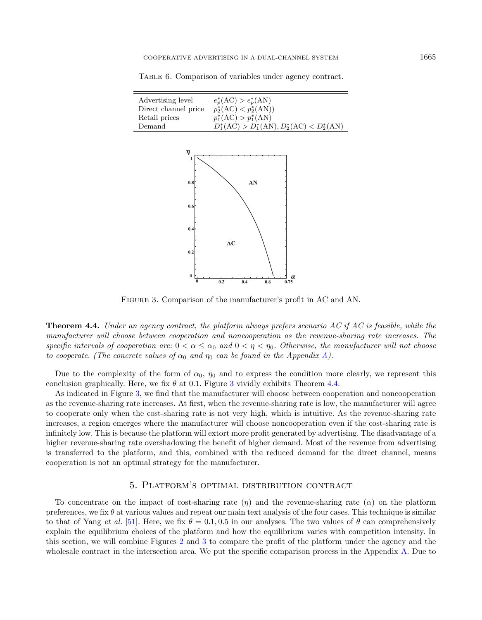| Advertising level    | $e_p^*(AC) > e_p^*(AN)$                        |
|----------------------|------------------------------------------------|
| Direct channel price | $p_2^*(\text{AC}) < p_2^*(\text{AN})$          |
| Retail prices        | $p_1^*(AC) > p_1^*(AN)$                        |
| Demand               | $D_1^*(AC) > D_1^*(AN), D_2^*(AC) < D_2^*(AN)$ |
|                      |                                                |

<span id="page-10-1"></span>Table 6. Comparison of variables under agency contract.

<span id="page-10-2"></span>

Figure 3. Comparison of the manufacturer's profit in AC and AN.

**Theorem 4.4.** Under an agency contract, the platform always prefers scenario AC if AC is feasible, while the manufacturer will choose between cooperation and noncooperation as the revenue-sharing rate increases. The specific intervals of cooperation are:  $0 < \alpha \le \alpha_0$  and  $0 < \eta < \eta_0$ . Otherwise, the manufacturer will not choose to cooperate. (The concrete values of  $\alpha_0$  and  $\eta_0$  can be found in the Appendix [A\)](#page-17-0).

Due to the complexity of the form of  $\alpha_0$ ,  $\eta_0$  and to express the condition more clearly, we represent this conclusion graphically. Here, we fix  $\theta$  at 0.1. Figure [3](#page-10-2) vividly exhibits Theorem [4.4.](#page-9-1)

As indicated in Figure [3,](#page-10-2) we find that the manufacturer will choose between cooperation and noncooperation as the revenue-sharing rate increases. At first, when the revenue-sharing rate is low, the manufacturer will agree to cooperate only when the cost-sharing rate is not very high, which is intuitive. As the revenue-sharing rate increases, a region emerges where the manufacturer will choose noncooperation even if the cost-sharing rate is infinitely low. This is because the platform will extort more profit generated by advertising. The disadvantage of a higher revenue-sharing rate overshadowing the benefit of higher demand. Most of the revenue from advertising is transferred to the platform, and this, combined with the reduced demand for the direct channel, means cooperation is not an optimal strategy for the manufacturer.

# 5. Platform's optimal distribution contract

<span id="page-10-0"></span>To concentrate on the impact of cost-sharing rate  $(\eta)$  and the revenue-sharing rate  $(\alpha)$  on the platform preferences, we fix  $\theta$  at various values and repeat our main text analysis of the four cases. This technique is similar to that of Yang *et al.* [\[51\]](#page-28-10). Here, we fix  $\theta = 0.1, 0.5$  in our analyses. The two values of  $\theta$  can comprehensively explain the equilibrium choices of the platform and how the equilibrium varies with competition intensity. In this section, we will combine Figures [2](#page-8-2) and [3](#page-10-2) to compare the profit of the platform under the agency and the wholesale contract in the intersection area. We put the specific comparison process in the Appendix [A.](#page-17-0) Due to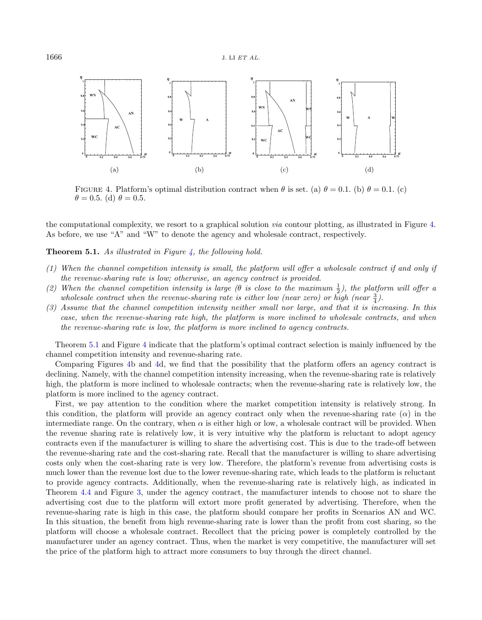<span id="page-11-0"></span>

FIGURE 4. Platform's optimal distribution contract when  $\theta$  is set. (a)  $\theta = 0.1$ . (b)  $\theta = 0.1$ . (c)  $\theta = 0.5$ . (d)  $\theta = 0.5$ .

the computational complexity, we resort to a graphical solution via contour plotting, as illustrated in Figure [4.](#page-11-0) As before, we use "A" and "W" to denote the agency and wholesale contract, respectively.

<span id="page-11-1"></span>**Theorem 5.1.** As illustrated in Figure [4,](#page-11-0) the following hold.

- (1) When the channel competition intensity is small, the platform will offer a wholesale contract if and only if the revenue-sharing rate is low; otherwise, an agency contract is provided.
- (2) When the channel competition intensity is large ( $\theta$  is close to the maximum  $\frac{1}{2}$ ), the platform will offer a wholes ale contract when the revenue-sharing rate is either low (near zero) or high (near  $\frac{3}{4}$ ).
- (3) Assume that the channel competition intensity neither small nor large, and that it is increasing. In this case, when the revenue-sharing rate high, the platform is more inclined to wholesale contracts, and when the revenue-sharing rate is low, the platform is more inclined to agency contracts.

Theorem [5.1](#page-11-1) and Figure [4](#page-11-0) indicate that the platform's optimal contract selection is mainly influenced by the channel competition intensity and revenue-sharing rate.

Comparing Figures [4b](#page-11-0) and [4d](#page-11-0), we find that the possibility that the platform offers an agency contract is declining. Namely, with the channel competition intensity increasing, when the revenue-sharing rate is relatively high, the platform is more inclined to wholesale contracts; when the revenue-sharing rate is relatively low, the platform is more inclined to the agency contract.

First, we pay attention to the condition where the market competition intensity is relatively strong. In this condition, the platform will provide an agency contract only when the revenue-sharing rate  $(\alpha)$  in the intermediate range. On the contrary, when  $\alpha$  is either high or low, a wholesale contract will be provided. When the revenue sharing rate is relatively low, it is very intuitive why the platform is reluctant to adopt agency contracts even if the manufacturer is willing to share the advertising cost. This is due to the trade-off between the revenue-sharing rate and the cost-sharing rate. Recall that the manufacturer is willing to share advertising costs only when the cost-sharing rate is very low. Therefore, the platform's revenue from advertising costs is much lower than the revenue lost due to the lower revenue-sharing rate, which leads to the platform is reluctant to provide agency contracts. Additionally, when the revenue-sharing rate is relatively high, as indicated in Theorem [4.4](#page-9-1) and Figure [3,](#page-10-2) under the agency contract, the manufacturer intends to choose not to share the advertising cost due to the platform will extort more profit generated by advertising. Therefore, when the revenue-sharing rate is high in this case, the platform should compare her profits in Scenarios AN and WC. In this situation, the benefit from high revenue-sharing rate is lower than the profit from cost sharing, so the platform will choose a wholesale contract. Recollect that the pricing power is completely controlled by the manufacturer under an agency contract. Thus, when the market is very competitive, the manufacturer will set the price of the platform high to attract more consumers to buy through the direct channel.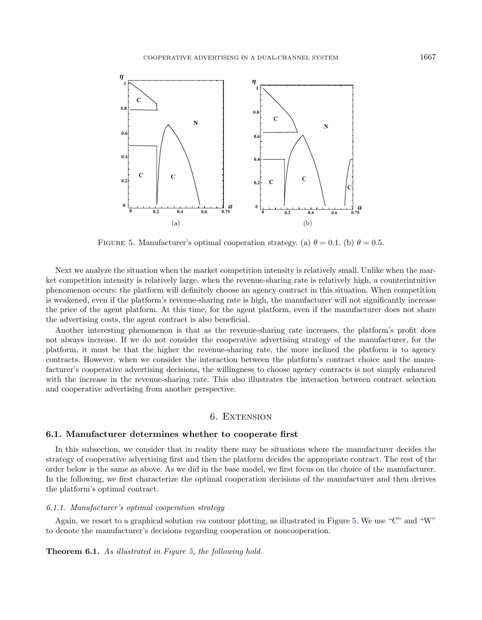<span id="page-12-1"></span>

FIGURE 5. Manufacturer's optimal cooperation strategy. (a)  $\theta = 0.1$ . (b)  $\theta = 0.5$ .

Next we analyze the situation when the market competition intensity is relatively small. Unlike when the market competition intensity is relatively large, when the revenue-sharing rate is relatively high, a counterintuitive phenomenon occurs: the platform will definitely choose an agency contract in this situation. When competition is weakened, even if the platform's revenue-sharing rate is high, the manufacturer will not significantly increase the price of the agent platform. At this time, for the agent platform, even if the manufacturer does not share the advertising costs, the agent contract is also beneficial.

Another interesting phenomenon is that as the revenue-sharing rate increases, the platform's profit does not always increase. If we do not consider the cooperative advertising strategy of the manufacturer, for the platform, it must be that the higher the revenue-sharing rate, the more inclined the platform is to agency contracts. However, when we consider the interaction between the platform's contract choice and the manufacturer's cooperative advertising decisions, the willingness to choose agency contracts is not simply enhanced with the increase in the revenue-sharing rate. This also illustrates the interaction between contract selection and cooperative advertising from another perspective.

# 6. Extension

# <span id="page-12-0"></span>6.1. Manufacturer determines whether to cooperate first

In this subsection, we consider that in reality there may be situations where the manufacturer decides the strategy of cooperative advertising first and then the platform decides the appropriate contract. The rest of the order below is the same as above. As we did in the base model, we first focus on the choice of the manufacturer. In the following, we first characterize the optimal cooperation decisions of the manufacturer and then derives the platform's optimal contract.

#### 6.1.1. Manufacturer's optimal cooperation strategy

Again, we resort to a graphical solution via contour plotting, as illustrated in Figure [5.](#page-12-1) We use "C" and "W" to denote the manufacturer's decisions regarding cooperation or noncooperation.

Theorem 6.1. As illustrated in Figure [5,](#page-12-1) the following hold.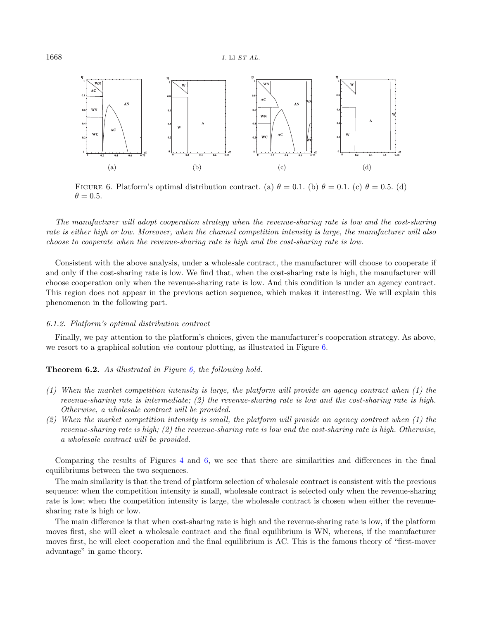<span id="page-13-0"></span>

FIGURE 6. Platform's optimal distribution contract. (a)  $\theta = 0.1$ . (b)  $\theta = 0.1$ . (c)  $\theta = 0.5$ . (d)  $\theta = 0.5.$ 

The manufacturer will adopt cooperation strategy when the revenue-sharing rate is low and the cost-sharing rate is either high or low. Moreover, when the channel competition intensity is large, the manufacturer will also choose to cooperate when the revenue-sharing rate is high and the cost-sharing rate is low.

Consistent with the above analysis, under a wholesale contract, the manufacturer will choose to cooperate if and only if the cost-sharing rate is low. We find that, when the cost-sharing rate is high, the manufacturer will choose cooperation only when the revenue-sharing rate is low. And this condition is under an agency contract. This region does not appear in the previous action sequence, which makes it interesting. We will explain this phenomenon in the following part.

#### 6.1.2. Platform's optimal distribution contract

Finally, we pay attention to the platform's choices, given the manufacturer's cooperation strategy. As above, we resort to a graphical solution via contour plotting, as illustrated in Figure [6.](#page-13-0)

**Theorem 6.2.** As illustrated in Figure [6,](#page-13-0) the following hold.

- (1) When the market competition intensity is large, the platform will provide an agency contract when (1) the revenue-sharing rate is intermediate; (2) the revenue-sharing rate is low and the cost-sharing rate is high. Otherwise, a wholesale contract will be provided.
- (2) When the market competition intensity is small, the platform will provide an agency contract when (1) the revenue-sharing rate is high; (2) the revenue-sharing rate is low and the cost-sharing rate is high. Otherwise, a wholesale contract will be provided.

Comparing the results of Figures [4](#page-11-0) and [6,](#page-13-0) we see that there are similarities and differences in the final equilibriums between the two sequences.

The main similarity is that the trend of platform selection of wholesale contract is consistent with the previous sequence: when the competition intensity is small, wholesale contract is selected only when the revenue-sharing rate is low; when the competition intensity is large, the wholesale contract is chosen when either the revenuesharing rate is high or low.

The main difference is that when cost-sharing rate is high and the revenue-sharing rate is low, if the platform moves first, she will elect a wholesale contract and the final equilibrium is WN, whereas, if the manufacturer moves first, he will elect cooperation and the final equilibrium is AC. This is the famous theory of "first-mover advantage" in game theory.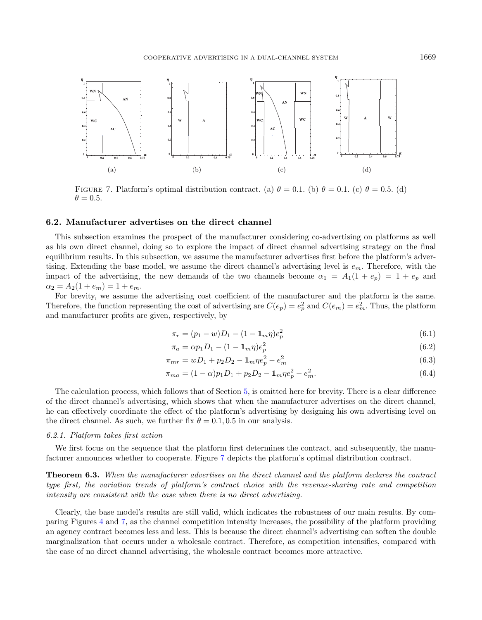<span id="page-14-0"></span>

FIGURE 7. Platform's optimal distribution contract. (a)  $\theta = 0.1$ . (b)  $\theta = 0.1$ . (c)  $\theta = 0.5$ . (d)  $\theta = 0.5.$ 

#### <span id="page-14-1"></span>6.2. Manufacturer advertises on the direct channel

This subsection examines the prospect of the manufacturer considering co-advertising on platforms as well as his own direct channel, doing so to explore the impact of direct channel advertising strategy on the final equilibrium results. In this subsection, we assume the manufacturer advertises first before the platform's advertising. Extending the base model, we assume the direct channel's advertising level is  $e_m$ . Therefore, with the impact of the advertising, the new demands of the two channels become  $\alpha_1 = A_1(1 + e_p) = 1 + e_p$  and  $\alpha_2 = A_2(1 + e_m) = 1 + e_m.$ 

For brevity, we assume the advertising cost coefficient of the manufacturer and the platform is the same. Therefore, the function representing the cost of advertising are  $C(e_p) = e_p^2$  and  $C(e_m) = e_m^2$ . Thus, the platform and manufacturer profits are given, respectively, by

$$
\pi_r = (p_1 - w)D_1 - (1 - \mathbf{1}_m \eta)e_p^2 \tag{6.1}
$$

$$
\pi_a = \alpha p_1 D_1 - (1 - \mathbf{1}_m \eta) e_p^2 \tag{6.2}
$$

$$
\pi_{mr} = wD_1 + p_2D_2 - \mathbf{1}_m\eta e_p^2 - e_m^2 \tag{6.3}
$$

$$
\pi_{ma} = (1 - \alpha)p_1D_1 + p_2D_2 - \mathbf{1}_m\eta e_p^2 - e_m^2. \tag{6.4}
$$

The calculation process, which follows that of Section [5,](#page-10-0) is omitted here for brevity. There is a clear difference of the direct channel's advertising, which shows that when the manufacturer advertises on the direct channel, he can effectively coordinate the effect of the platform's advertising by designing his own advertising level on the direct channel. As such, we further fix  $\theta = 0.1, 0.5$  in our analysis.

#### 6.2.1. Platform takes first action

We first focus on the sequence that the platform first determines the contract, and subsequently, the manufacturer announces whether to cooperate. Figure [7](#page-14-0) depicts the platform's optimal distribution contract.

Theorem 6.3. When the manufacturer advertises on the direct channel and the platform declares the contract type first, the variation trends of platform's contract choice with the revenue-sharing rate and competition intensity are consistent with the case when there is no direct advertising.

Clearly, the base model's results are still valid, which indicates the robustness of our main results. By comparing Figures [4](#page-11-0) and [7,](#page-14-0) as the channel competition intensity increases, the possibility of the platform providing an agency contract becomes less and less. This is because the direct channel's advertising can soften the double marginalization that occurs under a wholesale contract. Therefore, as competition intensifies, compared with the case of no direct channel advertising, the wholesale contract becomes more attractive.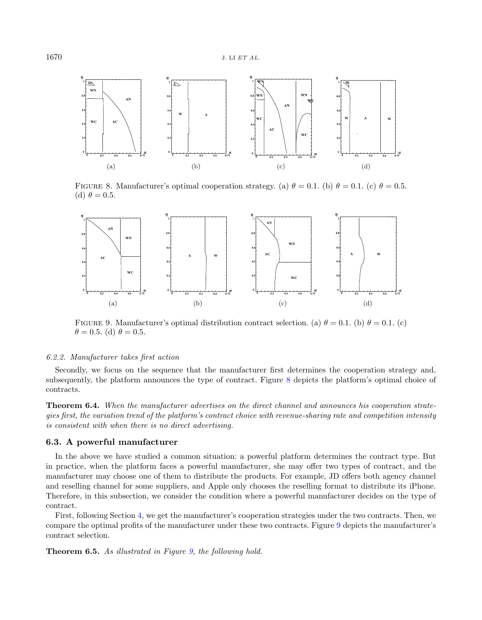<span id="page-15-0"></span>

FIGURE 8. Manufacturer's optimal cooperation strategy. (a)  $\theta = 0.1$ . (b)  $\theta = 0.1$ . (c)  $\theta = 0.5$ . (d)  $\theta = 0.5$ .

<span id="page-15-1"></span>

FIGURE 9. Manufacturer's optimal distribution contract selection. (a)  $\theta = 0.1$ . (b)  $\theta = 0.1$ . (c)  $\theta = 0.5$ . (d)  $\theta = 0.5$ .

### 6.2.2. Manufacturer takes first action

Secondly, we focus on the sequence that the manufacturer first determines the cooperation strategy and, subsequently, the platform announces the type of contract. Figure [8](#page-15-0) depicts the platform's optimal choice of contracts.

Theorem 6.4. When the manufacturer advertises on the direct channel and announces his cooperation strategies first, the variation trend of the platform's contract choice with revenue-sharing rate and competition intensity is consistent with when there is no direct advertising.

# 6.3. A powerful manufacturer

In the above we have studied a common situation: a powerful platform determines the contract type. But in practice, when the platform faces a powerful manufacturer, she may offer two types of contract, and the manufacturer may choose one of them to distribute the products. For example, JD offers both agency channel and reselling channel for some suppliers, and Apple only chooses the reselling format to distribute its iPhone. Therefore, in this subsection, we consider the condition where a powerful manufacturer decides on the type of contract.

First, following Section [4,](#page-5-0) we get the manufacturer's cooperation strategies under the two contracts. Then, we compare the optimal profits of the manufacturer under these two contracts. Figure [9](#page-15-1) depicts the manufacturer's contract selection.

Theorem 6.5. As illustrated in Figure [9,](#page-15-1) the following hold.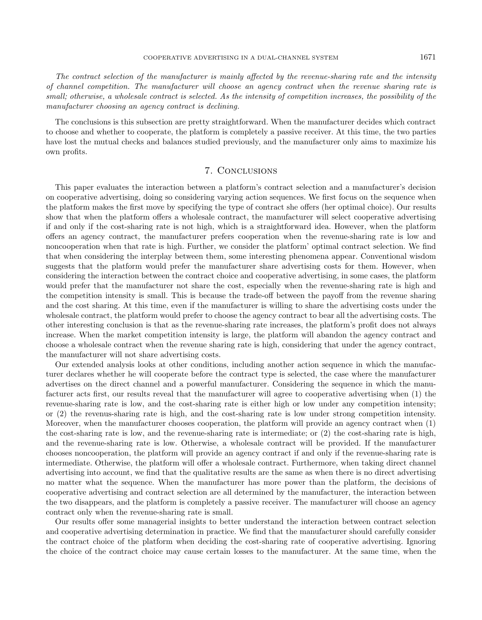The contract selection of the manufacturer is mainly affected by the revenue-sharing rate and the intensity of channel competition. The manufacturer will choose an agency contract when the revenue sharing rate is small; otherwise, a wholesale contract is selected. As the intensity of competition increases, the possibility of the manufacturer choosing an agency contract is declining.

The conclusions is this subsection are pretty straightforward. When the manufacturer decides which contract to choose and whether to cooperate, the platform is completely a passive receiver. At this time, the two parties have lost the mutual checks and balances studied previously, and the manufacturer only aims to maximize his own profits.

# 7. Conclusions

<span id="page-16-0"></span>This paper evaluates the interaction between a platform's contract selection and a manufacturer's decision on cooperative advertising, doing so considering varying action sequences. We first focus on the sequence when the platform makes the first move by specifying the type of contract she offers (her optimal choice). Our results show that when the platform offers a wholesale contract, the manufacturer will select cooperative advertising if and only if the cost-sharing rate is not high, which is a straightforward idea. However, when the platform offers an agency contract, the manufacturer prefers cooperation when the revenue-sharing rate is low and noncooperation when that rate is high. Further, we consider the platform' optimal contract selection. We find that when considering the interplay between them, some interesting phenomena appear. Conventional wisdom suggests that the platform would prefer the manufacturer share advertising costs for them. However, when considering the interaction between the contract choice and cooperative advertising, in some cases, the platform would prefer that the manufacturer not share the cost, especially when the revenue-sharing rate is high and the competition intensity is small. This is because the trade-off between the payoff from the revenue sharing and the cost sharing. At this time, even if the manufacturer is willing to share the advertising costs under the wholesale contract, the platform would prefer to choose the agency contract to bear all the advertising costs. The other interesting conclusion is that as the revenue-sharing rate increases, the platform's profit does not always increase. When the market competition intensity is large, the platform will abandon the agency contract and choose a wholesale contract when the revenue sharing rate is high, considering that under the agency contract, the manufacturer will not share advertising costs.

Our extended analysis looks at other conditions, including another action sequence in which the manufacturer declares whether he will cooperate before the contract type is selected, the case where the manufacturer advertises on the direct channel and a powerful manufacturer. Considering the sequence in which the manufacturer acts first, our results reveal that the manufacturer will agree to cooperative advertising when (1) the revenue-sharing rate is low, and the cost-sharing rate is either high or low under any competition intensity; or (2) the revenus-sharing rate is high, and the cost-sharing rate is low under strong competition intensity. Moreover, when the manufacturer chooses cooperation, the platform will provide an agency contract when (1) the cost-sharing rate is low, and the revenue-sharing rate is intermediate; or (2) the cost-sharing rate is high, and the revenue-sharing rate is low. Otherwise, a wholesale contract will be provided. If the manufacturer chooses noncooperation, the platform will provide an agency contract if and only if the revenue-sharing rate is intermediate. Otherwise, the platform will offer a wholesale contract. Furthermore, when taking direct channel advertising into account, we find that the qualitative results are the same as when there is no direct advertising no matter what the sequence. When the manufacturer has more power than the platform, the decisions of cooperative advertising and contract selection are all determined by the manufacturer, the interaction between the two disappears, and the platform is completely a passive receiver. The manufacturer will choose an agency contract only when the revenue-sharing rate is small.

Our results offer some managerial insights to better understand the interaction between contract selection and cooperative advertising determination in practice. We find that the manufacturer should carefully consider the contract choice of the platform when deciding the cost-sharing rate of cooperative advertising. Ignoring the choice of the contract choice may cause certain losses to the manufacturer. At the same time, when the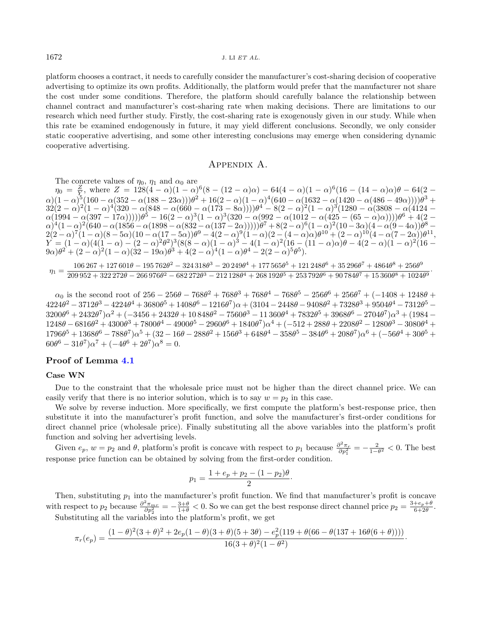platform chooses a contract, it needs to carefully consider the manufacturer's cost-sharing decision of cooperative advertising to optimize its own profits. Additionally, the platform would prefer that the manufacturer not share the cost under some conditions. Therefore, the platform should carefully balance the relationship between channel contract and manufacturer's cost-sharing rate when making decisions. There are limitations to our research which need further study. Firstly, the cost-sharing rate is exogenously given in our study. While when this rate be examined endogenously in future, it may yield different conclusions. Secondly, we only consider static cooperative advertising, and some other interesting conclusions may emerge when considering dynamic cooperative advertising.

# Appendix A.

<span id="page-17-0"></span>The concrete values of  $\eta_0$ ,  $\eta_1$  and  $\alpha_0$  are

 $\eta_0 = \frac{Z}{Y}$ , where  $Z = 128(4 - \alpha)(1 - \alpha)^6(8 - (12 - \alpha)\alpha) - 64(4 - \alpha)(1 - \alpha)^6(16 - (14 - \alpha)\alpha)\theta - 64(2 - \alpha)\alpha$  $\alpha(1-\alpha)^5(160-\alpha(352-\alpha(188-23\alpha)))\theta^2+16(2-\alpha)(1-\alpha)^4(640-\alpha(1632-\alpha(1420-\alpha(486-49\alpha))))\theta^3+$  $32(2-\alpha)^2(1-\alpha)^4(320-\alpha(848-\alpha(660-\alpha(173-8\alpha))))\theta^4-8(2-\alpha)^2(1-\alpha)^3(1280-\alpha(3808-\alpha(4124-\alpha)))$  $\alpha(1994-\alpha(397-17\alpha))))\theta^5-16(2-\alpha)^3(1-\alpha)^3(320-\alpha(992-\alpha(1012-\alpha(425-(65-\alpha)\alpha))))\theta^6+4(2-\alpha)^2)$  $\alpha)^4 (1-\alpha)^2 (640 - \alpha(1856 - \alpha(1898 - \alpha(832 - \alpha(137 - 2\alpha))))\theta^7 + 8(2-\alpha)^6 (1-\alpha)^2 (10-3\alpha)(4-\alpha(9-4\alpha))\theta^8 2(2-\alpha)^7(1-\alpha)(8-5\alpha)(10-\alpha(17-5\alpha))\theta^9-4(2-\alpha)^9(1-\alpha)(2-(4-\alpha)\alpha)\theta^{10}+(2-\alpha)^{10}(4-\alpha(7-2\alpha))\theta^{11},$  $\hat{Y} = (1-\alpha)(4(1-\alpha) - (2-\alpha)^2\theta^2)^3(8(8-\alpha)(1-\alpha)^3 - 4(1-\alpha)^2(16 - (11-\alpha)\alpha)\theta - 4(2-\alpha)(1-\alpha)^2(16-\alpha)^2)$  $(9\alpha)\theta^2+(2-\alpha)^2(1-\alpha)(32-19\alpha)\theta^3+4(2-\alpha)^4(1-\alpha)\theta^4-2(2-\alpha)^5\theta^5).$ 

$$
\eta_1=\frac{106\,267+127\,601\theta-195\,762\theta^2-324\,318\theta^3-20\,249\theta^4+177\,565\theta^5+121\,248\theta^6+35\,296\theta^7+4864\theta^8+256\theta^9}{209\,952+322\,272\theta-266\,976\theta^2-682\,272\theta^3-212\,128\theta^4+268\,192\theta^5+253\,792\theta^6+90\,784\theta^7+15\,360\theta^8+1024\theta^9}.
$$

 $\alpha_0$  is the second root of  $256 - 256\theta - 768\theta^2 + 768\theta^3 + 768\theta^4 - 768\theta^5 - 256\theta^6 + 256\theta^7 + (-1408 + 1248\theta +$  $4224\theta^2 - 3712\theta^3 - 4224\theta^4 + 3680\theta^5 + 1408\theta^6 - 1216\theta^7)\alpha + (3104 - 2448\theta - 9408\theta^2 + 7328\theta^3 + 9504\theta^4 - 7312\theta^5 3200\theta^6 + 2432\theta^7)\alpha^2 + (-3456 + 2432\theta + 10\,848\theta^2 - 7560\theta^3 - 11\,360\theta^4 + 7832\theta^5 + 3968\theta^6 - 2704\theta^7)\alpha^3 + (1984 - 12\theta^5)\alpha^2$  $1248\theta - 6816\theta^2 + 4300\theta^3 + 7800\theta^4 - 4900\theta^5 - 2960\theta^6 + 1840\theta^7)\alpha^4 + (-512 + 288\theta + 2208\theta^2 - 1280\theta^3 - 3080\theta^4 +$  $1796\theta^5 + 1368\theta^6 - 788\theta^7)\alpha^5 + (32 - 16\theta - 288\theta^2 + 156\theta^3 + 648\theta^4 - 358\theta^5 - 384\theta^6 + 208\theta^7)\alpha^6 + (-56\theta^4 + 30\theta^5 +$  $60\theta^6 - 31\theta^7\right)\alpha^7 + (-4\theta^6 + 2\theta^7)\alpha^8 = 0.$ 

# Proof of Lemma [4.1](#page-7-0)

#### Case WN

Due to the constraint that the wholesale price must not be higher than the direct channel price. We can easily verify that there is no interior solution, which is to say  $w = p_2$  in this case.

We solve by reverse induction. More specifically, we first compute the platform's best-response price, then substitute it into the manufacturer's profit function, and solve the manufacturer's first-order conditions for direct channel price (wholesale price). Finally substituting all the above variables into the platform's profit function and solving her advertising levels.

Given  $e_p$ ,  $w = p_2$  and  $\theta$ , platform's profit is concave with respect to  $p_1$  because  $\frac{\partial^2 \pi_r}{\partial p_1^2} = -\frac{2}{1-\theta^2} < 0$ . The best response price function can be obtained by solving from the first-order condition.

$$
p_1 = \frac{1 + e_p + p_2 - (1 - p_2)\theta}{2}.
$$

Then, substituting  $p_1$  into the manufacturer's profit function. We find that manufacturer's profit is concave with respect to  $p_2$  because  $\frac{\partial^2 \pi_{mr}}{\partial p_2^2} = -\frac{3+\theta}{1+\theta} < 0$ . So we can get the best response direct channel price  $p_2 = \frac{3+e_p+\theta}{6+2\theta}$ . Substituting all the variables into the platform's profit, we get

$$
\pi_r(e_p) = \frac{(1-\theta)^2(3+\theta)^2 + 2e_p(1-\theta)(3+\theta)(5+3\theta) - e_p^2(119+\theta(66-\theta(137+16\theta(6+\theta))))}{16(3+\theta)^2(1-\theta^2)}.
$$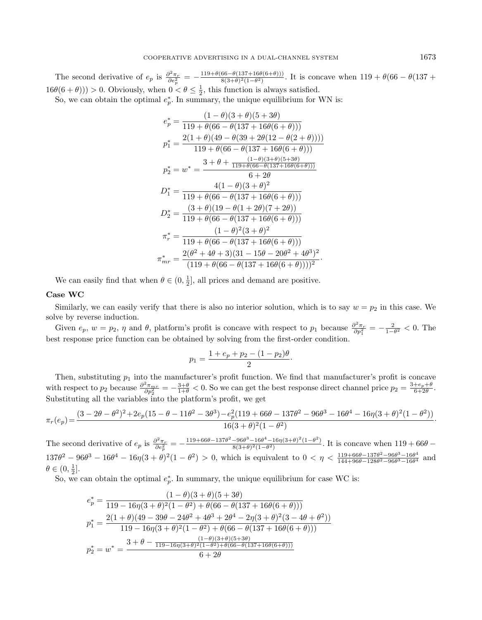The second derivative of  $e_p$  is  $\frac{\partial^2 \pi_r}{\partial e_p^2} = -\frac{119 + \theta(66 - \theta(137 + 16\theta(6+\theta)))}{8(3+\theta)^2(1-\theta^2)}$  $\frac{60-6(137+100(6+6))1}{8(3+\theta)^2(1-\theta^2)}$ . It is concave when  $119+\theta(66-\theta(137+\theta))$  $16\theta(6+\theta)) > 0$ . Obviously, when  $0 < \theta \leq \frac{1}{2}$ , this function is always satisfied. So, we can obtain the optimal  $e_p^*$ . In summary, the unique equilibrium for WN is:

$$
e_p^* = \frac{(1 - \theta)(3 + \theta)(5 + 3\theta)}{119 + \theta(66 - \theta(137 + 16\theta(6 + \theta)))}
$$
  
\n
$$
p_1^* = \frac{2(1 + \theta)(49 - \theta(39 + 2\theta(12 - \theta(2 + \theta))))}{119 + \theta(66 - \theta(137 + 16\theta(6 + \theta)))}
$$
  
\n
$$
p_2^* = w^* = \frac{3 + \theta + \frac{(1 - \theta)(3 + \theta)(5 + 3\theta)}{119 + \theta(66 - \theta(137 + 16\theta(6 + \theta)))}}{6 + 2\theta}
$$
  
\n
$$
D_1^* = \frac{4(1 - \theta)(3 + \theta)^2}{119 + \theta(66 - \theta(137 + 16\theta(6 + \theta)))}
$$
  
\n
$$
D_2^* = \frac{(3 + \theta)(19 - \theta(1 + 2\theta)(7 + 2\theta))}{119 + \theta(66 - \theta(137 + 16\theta(6 + \theta)))}
$$
  
\n
$$
\pi_r^* = \frac{(1 - \theta)^2(3 + \theta)^2}{119 + \theta(66 - \theta(137 + 16\theta(6 + \theta)))}
$$
  
\n
$$
\pi_{mr}^* = \frac{2(\theta^2 + 4\theta + 3)(31 - 15\theta - 20\theta^2 + 4\theta^3)^2}{(119 + \theta(66 - \theta(137 + 16\theta(6 + \theta)))))^2}.
$$

We can easily find that when  $\theta \in (0, \frac{1}{2}],$  all prices and demand are positive.

# Case WC

Similarly, we can easily verify that there is also no interior solution, which is to say  $w = p_2$  in this case. We solve by reverse induction.

Given  $e_p$ ,  $w = p_2$ ,  $\eta$  and  $\theta$ , platform's profit is concave with respect to  $p_1$  because  $\frac{\partial^2 \pi_r}{\partial p_1^2} = -\frac{2}{1-\theta^2} < 0$ . The best response price function can be obtained by solving from the first-order condition.

$$
p_1 = \frac{1 + e_p + p_2 - (1 - p_2)\theta}{2}.
$$

Then, substituting  $p_1$  into the manufacturer's profit function. We find that manufacturer's profit is concave with respect to  $p_2$  because  $\frac{\partial^2 \pi_{mr}}{\partial p_2^2} = -\frac{3+\theta}{1+\theta} < 0$ . So we can get the best response direct channel price  $p_2 = \frac{3+e_p+\theta}{6+2\theta}$ . Substituting all the variables into the platform's profit, we get

$$
\pi_r(e_p) = \frac{(3-2\theta-\theta^2)^2 + 2e_p(15-\theta-11\theta^2-3\theta^3) - e_p^2(119+66\theta-137\theta^2-96\theta^3-16\theta^4-16\eta(3+\theta)^2(1-\theta^2))}{16(3+\theta)^2(1-\theta^2)}.
$$

The second derivative of  $e_p$  is  $\frac{\partial^2 \pi_r}{\partial e_p^2} = -\frac{119 + 66\theta - 137\theta^2 - 96\theta^3 - 16\theta^4 - 16\eta(3+\theta)^2(1-\theta^2)}{8(3+\theta)^2(1-\theta^2)}$  $\frac{-96\theta^{\circ}-16\theta^{\circ}-16\eta(3+\theta)^{\circ}(1-\theta^{\circ})}{8(3+\theta)^2(1-\theta^2)}$ . It is concave when  $119+66\theta$  –  $137\theta^2 - 96\theta^3 - 16\theta^4 - 16\eta(3+\theta)^2(1-\theta^2) > 0$ , which is equivalent to  $0 < \eta < \frac{119+66\theta-137\theta^2-96\theta^3-16\theta^4}{144+96\theta-128\theta^2-96\theta^3-16\theta^4}$  $\frac{119+66\theta-137\theta^2-96\theta^3-16\theta^4}{144+96\theta-128\theta^2-96\theta^3-16\theta^4}$  and  $\theta \in (0, \frac{1}{2}].$ 

So, we can obtain the optimal  $e_p^*$ . In summary, the unique equilibrium for case WC is:

$$
e_p^* = \frac{(1-\theta)(3+\theta)(5+3\theta)}{119-16\eta(3+\theta)^2(1-\theta^2)+\theta(66-\theta(137+16\theta(6+\theta)))}
$$
  
\n
$$
p_1^* = \frac{2(1+\theta)(49-39\theta-24\theta^2+4\theta^3+2\theta^4-2\eta(3+\theta)^2(3-4\theta+\theta^2))}{119-16\eta(3+\theta)^2(1-\theta^2)+\theta(66-\theta(137+16\theta(6+\theta)))}
$$
  
\n
$$
p_2^* = w^* = \frac{3+\theta-\frac{(1-\theta)(3+\theta)(5+3\theta)}{119-16\eta(3+\theta)^2(1-\theta^2)+\theta(66-\theta(137+16\theta(6+\theta)))}}{6+2\theta}
$$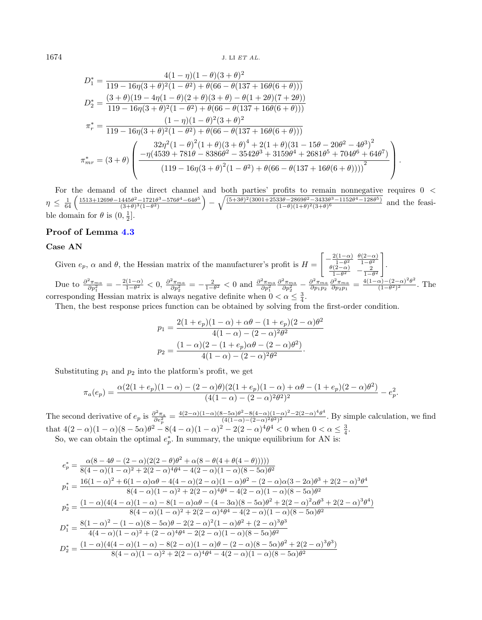$$
D_1^* = \frac{4(1-\eta)(1-\theta)(3+\theta)^2}{119-16\eta(3+\theta)^2(1-\theta^2)+\theta(66-\theta(137+16\theta(6+\theta)))}
$$
  
\n
$$
D_2^* = \frac{(3+\theta)(19-4\eta(1-\theta)(2+\theta)(3+\theta)-\theta(1+2\theta)(7+2\theta))}{119-16\eta(3+\theta)^2(1-\theta^2)+\theta(66-\theta(137+16\theta(6+\theta)))}
$$
  
\n
$$
\pi_r^* = \frac{(1-\eta)(1-\theta)^2(3+\theta)^2}{119-16\eta(3+\theta)^2(1-\theta^2)+\theta(66-\theta(137+16\theta(6+\theta)))}
$$
  
\n
$$
\pi_{mr}^* = (3+\theta)\left(\frac{32\eta^2(1-\theta)^2(1+\theta)(3+\theta)^4+2(1+\theta)(31-15\theta-20\theta^2-4\theta^3)^2}{(119-16\eta(3+\theta)^2(1-\theta^2)+\theta(66-\theta(137+16\theta(6+\theta))))^2}\right).
$$

For the demand of the direct channel and both parties' profits to remain nonnegative requires 0  $\lt$  $\eta \leq \frac{1}{64} \left( \frac{1513+1269\theta-1445\theta^2-1721\theta^3-576\theta^4-64\theta^5}{(3+\theta)^3(1-\theta^2)} \right.$  $\frac{(3+\theta)^2-1721\theta^3-576\theta^4-64\theta^5}{(3+\theta)^3(1-\theta^2)}\bigg\}-\sqrt{\frac{(5+3\theta)^2(3001+2533\theta-2869\theta^2-3433\theta^3-1152\theta^4-128\theta^5)}{(1-\theta)(1+\theta)^2(3+\theta)^6}}$  $\frac{(1-\theta)(1+\theta)^2(3+\theta)^6 - 1132\theta^2 - 128\theta^6)}{(1-\theta)(1+\theta)^2(3+\theta)^6}$  and the feasible domain for  $\theta$  is  $(0, \frac{1}{2}]$ .

# Proof of Lemma [4.3](#page-9-2)

# Case AN

Given  $e_p$ ,  $\alpha$  and  $\theta$ , the Hessian matrix of the manufacturer's profit is  $H =$  $\left[-\frac{2(1-\alpha)}{1-\theta^2}\right]$  $\frac{\theta(1-\alpha)}{1-\theta^2}$   $\frac{\theta(2-\alpha)}{1-\theta^2}$  $\theta(2-\alpha)$  1- $\theta^2$ <br>2  $rac{(2-\alpha)}{1-\theta^2}$  –  $rac{2}{1-\theta^2}$ ]︃ . Due to  $\frac{\partial^2 \pi_{ma}}{\partial p_1^2} = -\frac{2(1-\alpha)}{1-\theta^2}$  $\frac{(1-\alpha)}{1-\theta^2}$  < 0,  $\frac{\partial^2 \pi_{ma}}{\partial p_2^2}$  =  $-\frac{2}{1-\theta^2}$  < 0 and  $\frac{\partial^2 \pi_{ma}}{\partial p_1^2}$  $\frac{\partial^2 \pi_{ma}}{\partial p_2^2} - \frac{\partial^2 \pi_{ma}}{\partial p_1 p_2} \frac{\partial^2 \pi_{ma}}{\partial p_2 p_1} = \frac{4(1-\alpha)-(2-\alpha)^2\theta^2}{(1-\theta^2)^2}$  $\frac{\alpha_1-(2-\alpha) \sigma}{(1-\theta^2)^2}$ . The corresponding Hessian matrix is always negative definite when  $0 < \alpha \leq \frac{3}{4}$ .

Then, the best response prices function can be obtained by solving from the first-order condition.

$$
p_1 = \frac{2(1+e_p)(1-\alpha) + \alpha\theta - (1+e_p)(2-\alpha)\theta^2}{4(1-\alpha) - (2-\alpha)^2\theta^2}
$$

$$
p_2 = \frac{(1-\alpha)(2 - (1+e_p)\alpha\theta - (2-\alpha)\theta^2)}{4(1-\alpha) - (2-\alpha)^2\theta^2}.
$$

Substituting  $p_1$  and  $p_2$  into the platform's profit, we get

$$
\pi_a(e_p) = \frac{\alpha(2(1+e_p)(1-\alpha) - (2-\alpha)\theta)(2(1+e_p)(1-\alpha) + \alpha\theta - (1+e_p)(2-\alpha)\theta^2)}{(4(1-\alpha) - (2-\alpha)^2\theta^2)^2} - e_p^2.
$$

The second derivative of  $e_p$  is  $\frac{\partial^2 \pi_a}{\partial e_p^2} = \frac{4(2-\alpha)(1-\alpha)(8-5\alpha)\theta^2 - 8(4-\alpha)(1-\alpha)^2 - 2(2-\alpha)^4\theta^4}{(4(1-\alpha)-(2-\alpha)^2\theta^2)^2}$  $\frac{(-\infty)(1-\alpha)(1-\alpha)(1-\alpha)(1-\alpha)}{(4(1-\alpha)-(2-\alpha)^2\theta^2)^2}$ . By simple calculation, we find that  $4(2-\alpha)(1-\alpha)(8-5\alpha)\theta^2 - 8(4-\alpha)(1-\alpha)^2 - 2(2-\alpha)^4\theta^4 < 0$  when  $0 < \alpha \leq \frac{3}{4}$ .

So, we can obtain the optimal  $e_p^*$ . In summary, the unique equilibrium for AN is:

$$
\begin{split} e^*_p&=\frac{\alpha(8-4\theta-(2-\alpha)(2(2-\theta)\theta^2+\alpha(8-\theta(4+\theta(4-\theta)))))}{8(4-\alpha)(1-\alpha)^2+2(2-\alpha)^4\theta^4-4(2-\alpha)(1-\alpha)(8-5\alpha)\theta^2} \\ p^*_1&=\frac{16(1-\alpha)^2+6(1-\alpha)\alpha\theta-4(4-\alpha)(2-\alpha)(1-\alpha)\theta^2-(2-\alpha)\alpha(3-2\alpha)\theta^3+2(2-\alpha)^3\theta^4}{8(4-\alpha)(1-\alpha)^2+2(2-\alpha)^4\theta^4-4(2-\alpha)(1-\alpha)(8-5\alpha)\theta^2} \\ p^*_2&=\frac{(1-\alpha)(4(4-\alpha)(1-\alpha)-8(1-\alpha)\alpha\theta-(4-3\alpha)(8-5\alpha)\theta^2+2(2-\alpha)^2\alpha\theta^3+2(2-\alpha)^3\theta^4)}{8(4-\alpha)(1-\alpha)^2+2(2-\alpha)^4\theta^4-4(2-\alpha)(1-\alpha)(8-5\alpha)\theta^2} \\ D^*_1&=\frac{8(1-\alpha)^2-(1-\alpha)(8-5\alpha)\theta-2(2-\alpha)^2(1-\alpha)\theta^2+(2-\alpha)^3\theta^3}{4(4-\alpha)(1-\alpha)^2+(2-\alpha)^4\theta^4-2(2-\alpha)(1-\alpha)(8-5\alpha)\theta^2} \\ D^*_2&=\frac{(1-\alpha)(4(4-\alpha)(1-\alpha)-8(2-\alpha)(1-\alpha)\theta-(2-\alpha)(8-5\alpha)\theta^2+2(2-\alpha)^3\theta^3)}{8(4-\alpha)(1-\alpha)^2+2(2-\alpha)^4\theta^4-4(2-\alpha)(1-\alpha)(8-5\alpha)\theta^2} \end{split}
$$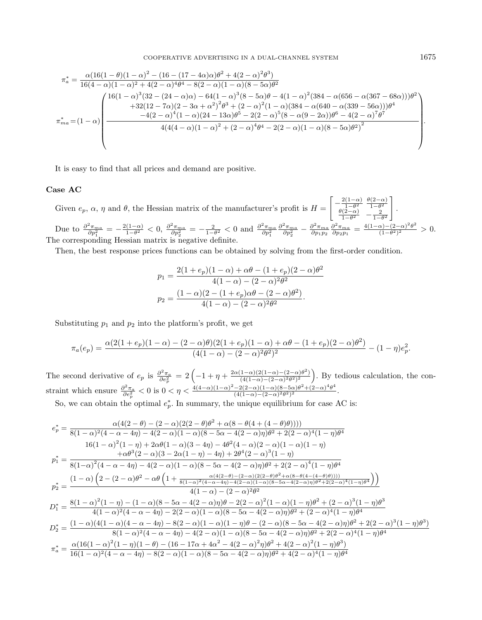$$
\pi_a^* = \frac{\alpha (16(1-\theta)(1-\alpha)^2 - (16 - (17 - 4\alpha)\alpha)\theta^2 + 4(2 - \alpha)^2 \theta^3)}{16(4-\alpha)(1-\alpha)^2 + 4(2-\alpha)^4 \theta^4 - 8(2 - \alpha)(1 - \alpha)(8 - 5\alpha)\theta^2}
$$

$$
= \frac{16(1-\alpha)^3(32 - (24 - \alpha)\alpha) - 64(1 - \alpha)^3(8 - 5\alpha)\theta - 4(1 - \alpha)^2(384 - \alpha(656 - \alpha(367 - 68\alpha)))\theta^2 + 32(12 - 7\alpha)(2 - 3\alpha + \alpha^2)^2 \theta^3 + (2 - \alpha)^2(1 - \alpha)(384 - \alpha(640 - \alpha(339 - 56\alpha)))\theta^4}{-4(2 - \alpha)^4(1 - \alpha)(24 - 13\alpha)\theta^5 - 2(2 - \alpha)^5(8 - \alpha(9 - 2\alpha))\theta^6 - 4(2 - \alpha)^7 \theta^7}
$$

$$
= \frac{4(4(4 - \alpha)(1 - \alpha)^2 + (2 - \alpha)^4 \theta^4 - 2(2 - \alpha)(1 - \alpha)(8 - 5\alpha)\theta^2)^2}{4(4(4 - \alpha)(1 - \alpha)^2 + (2 - \alpha)^4 \theta^4 - 2(2 - \alpha)(1 - \alpha)(8 - 5\alpha)\theta^2)^2}
$$

It is easy to find that all prices and demand are positive.

#### Case AC

Given  $e_p$ ,  $\alpha$ ,  $\eta$  and  $\theta$ , the Hessian matrix of the manufacturer's profit is  $H =$  $\left[-\frac{2(1-\alpha)}{1-\theta^2}\right]$  $\frac{\theta(1-\alpha)}{1-\theta^2}$   $\frac{\theta(2-\alpha)}{1-\theta^2}$  $\begin{array}{cc} 1-\theta^2 & 1-\theta^2 \\ \theta(2-\alpha) & 2 \end{array}$  $\frac{1}{1-\theta^2}$   $-\frac{2}{1-\theta^2}$ ]︃ . Due to  $\frac{\partial^2 \pi_{ma}}{\partial p_1^2} = -\frac{2(1-\alpha)}{1-\theta^2}$  $\frac{(1-\alpha)}{1-\theta^2}$  < 0,  $\frac{\partial^2 \pi_{ma}}{\partial p_2^2}$  =  $-\frac{2}{1-\theta^2}$  < 0 and  $\frac{\partial^2 \pi_{ma}}{\partial p_1^2}$  $\frac{\partial^2 \pi_{ma}}{\partial p_2^2} - \frac{\partial^2 \pi_{ma}}{\partial p_1 p_2} \frac{\partial^2 \pi_{ma}}{\partial p_2 p_1} = \frac{4(1-\alpha)-(2-\alpha)^2\theta^2}{(1-\theta^2)^2}$  $\frac{\alpha_{1}-(2-\alpha)^{\theta}}{(1-\theta^2)^2} > 0.$ The corresponding Hessian matrix is negative definite.

Then, the best response prices functions can be obtained by solving from the first-order condition.

$$
p_1 = \frac{2(1+e_p)(1-\alpha) + \alpha\theta - (1+e_p)(2-\alpha)\theta^2}{4(1-\alpha) - (2-\alpha)^2\theta^2}
$$

$$
p_2 = \frac{(1-\alpha)(2 - (1+e_p)\alpha\theta - (2-\alpha)\theta^2)}{4(1-\alpha) - (2-\alpha)^2\theta^2}.
$$

Substituting  $p_1$  and  $p_2$  into the platform's profit, we get

$$
\pi_a(e_p) = \frac{\alpha(2(1+e_p)(1-\alpha) - (2-\alpha)\theta)(2(1+e_p)(1-\alpha) + \alpha\theta - (1+e_p)(2-\alpha)\theta^2)}{(4(1-\alpha) - (2-\alpha)^2\theta^2)^2} - (1-\eta)e_p^2.
$$

The second derivative of  $e_p$  is  $\frac{\partial^2 \pi_a}{\partial e_p^2} = 2\left(-1 + \eta + \frac{2\alpha(1-\alpha)(2(1-\alpha)-(2-\alpha)\theta^2)}{(4(1-\alpha)-(2-\alpha)^2\theta^2)^2}\right)$  $\frac{(1-\alpha)(2(1-\alpha)-(2-\alpha)\theta^2)}{(4(1-\alpha)-(2-\alpha)^2\theta^2)^2}$ . By tedious calculation, the constraint which ensure  $\frac{\partial^2 \pi_a}{\partial e_p^2} < 0$  is  $0 < \eta < \frac{4(4-\alpha)(1-\alpha)^2 - 2(2-\alpha)(1-\alpha)(8-5\alpha)\theta^2 + (2-\alpha)^4\theta^4}{(4(1-\alpha)-(2-\alpha)^2\theta^2)^2}$  $\frac{-2(2-\alpha)(1-\alpha)(8-3\alpha)\theta + (2-\alpha)\theta}{(4(1-\alpha)-(2-\alpha)^2\theta^2)^2}.$ 

So, we can obtain the optimal  $e_p^*$ . In summary, the unique equilibrium for case AC is:

$$
e_{p}^{*} = \frac{\alpha(4(2-\theta) - (2-\alpha)(2(2-\theta)\theta^{2} + \alpha(8-\theta(4+(4-\theta)\theta))))}{8(1-\alpha)^{2}(4-\alpha-4\eta) - 4(2-\alpha)(1-\alpha)(8-5\alpha-4(2-\alpha)\eta)\theta^{2} + 2(2-\alpha)^{4}(1-\eta)\theta^{4}}
$$
  
\n
$$
16(1-\alpha)^{2}(1-\eta) + 2\alpha\theta(1-\alpha)(3-4\eta) - 4\theta^{2}(4-\alpha)(2-\alpha)(1-\alpha)(1-\eta)
$$
  
\n
$$
p_{1}^{*} = \frac{+\alpha\theta^{3}(2-\alpha)(3-2\alpha(1-\eta) - 4\eta) + 2\theta^{4}(2-\alpha)^{3}(1-\eta)}{8(1-\alpha)^{2}(4-\alpha-\eta\eta) - 4(2-\alpha)(1-\alpha)(8-5\alpha-4(2-\alpha)\eta)\theta^{2} + 2(2-\alpha)^{4}(1-\eta)\theta^{4}}
$$
  
\n
$$
p_{2}^{*} = \frac{(1-\alpha)\left(2-(2-\alpha)\theta^{2} - \alpha\theta\left(1+\frac{\alpha(4(2-\theta)-(2-\alpha)(2(2-\theta)\theta^{2} + \alpha(8-\theta(4-(4-\theta)\theta))))}{4(1-\alpha)-(2-\alpha)^{2}\theta^{2} + 2(2-\alpha)^{4}(1-\eta)\theta^{4}}\right)\right)}{4(1-\alpha)-(2-\alpha)^{2}\theta^{2}}
$$
  
\n
$$
D_{1}^{*} = \frac{8(1-\alpha)^{2}(1-\eta) - (1-\alpha)(8-5\alpha-4(2-\alpha)\eta)\theta - 2(2-\alpha)^{2}(1-\alpha)(1-\eta)\theta^{2} + (2-\alpha)^{3}(1-\eta)\theta^{3}}{4(1-\alpha)^{2}(4-\alpha-\alpha+\eta) - 2(2-\alpha)(1-\alpha)(8-5\alpha-4(2-\alpha)\eta)\theta^{2} + (2-\alpha)^{3}(1-\eta)\theta^{3}}
$$
  
\n
$$
D_{2}^{*} = \frac{(1-\alpha)(4(1-\alpha)(4-\alpha-\alpha+\eta) - 8(2-\alpha)(1-\alpha)(1-\eta)\theta - (2-\alpha)(8-5\alpha-4(2-\alpha)\eta)\theta^{2} + 2(2-\alpha)^{3}(1-\eta)\theta^{3})}{8(1-\alpha)^{2}(4-\alpha-\alpha+\eta) - 4(2-\alpha)(1-\alpha
$$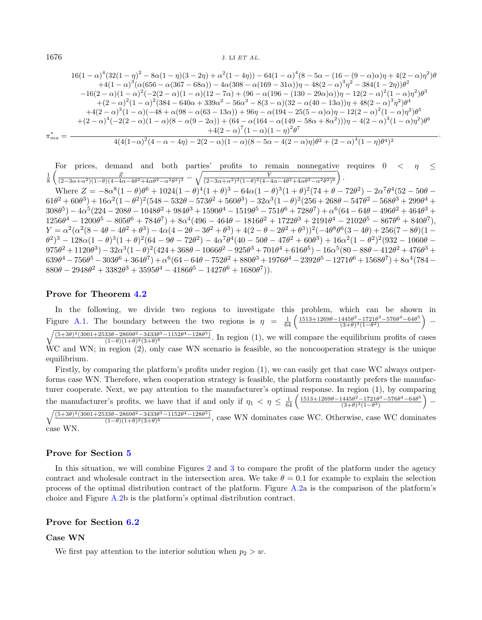$$
16(1 - \alpha)^4 (32(1 - \eta)^2 - 8\alpha(1 - \eta)(3 - 2\eta) + \alpha^2(1 - 4\eta)) - 64(1 - \alpha)^4 (8 - 5\alpha - (16 - (9 - \alpha)\alpha)\eta + 4(2 - \alpha)\eta^2)\theta
$$
  
\n
$$
+4(1 - \alpha)^3 (\alpha(656 - \alpha(367 - 68\alpha)) - 4\alpha(308 - \alpha(169 - 31\alpha))\eta - 48(2 - \alpha)^3\eta^2 - 384(1 - 2\eta))\theta^2
$$
  
\n
$$
-16(2 - \alpha)(1 - \alpha)^2(-2(2 - \alpha)(1 - \alpha)(12 - 7\alpha) + (96 - \alpha(196 - (130 - 29\alpha)\alpha))\eta - 12(2 - \alpha)^2(1 - \alpha)\eta^2)\theta^3
$$
  
\n
$$
+ (2 - \alpha)^2(1 - \alpha)^2(384 - 640\alpha + 339\alpha^2 - 56\alpha^3 - 8(3 - \alpha)(32 - \alpha(40 - 13\alpha))\eta + 48(2 - \alpha)^3\eta^2)\theta^4
$$
  
\n
$$
+4(2 - \alpha)^3(1 - \alpha)(-48 + \alpha(98 - \alpha(63 - 13\alpha)) + 96\eta - \alpha(194 - 25(5 - \alpha)\alpha)\eta - 12(2 - \alpha)^2(1 - \alpha)\eta^2)\theta^5
$$
  
\n
$$
+ (2 - \alpha)^4(-2(2 - \alpha)(1 - \alpha)(8 - \alpha(9 - 2\alpha)) + (64 - \alpha(164 - \alpha(149 - 58\alpha + 8\alpha^2)))\eta - 4(2 - \alpha)^3(1 - \alpha)\eta^2)\theta^6
$$
  
\n
$$
\pi_{ma}^* = \frac{4(4(1 - \alpha)^2(4 - \alpha - 4\eta) - 2(2 - \alpha)(1 - \alpha)(8 - 5\alpha - 4(2 - \alpha)\eta)\theta^2 + (2 - \alpha)^4(1 - \eta)\theta^4)^2}{4(4(1 - \alpha)^2(4 - \alpha - 4\eta) - 2(2 - \alpha)(1 - \alpha)(8 - 5\alpha - 4(2 - \alpha)\eta)\theta^2 + (2 - \alpha)^4(1 - \eta
$$

·

For prices, demand and both parties' profits to remain nonnegative requires  $0 < \eta \leq$  $\frac{1}{8}\left(\frac{Z}{(2-3\alpha+\alpha^2)(1-\theta)(4-4\alpha-4\theta^2+4\alpha\theta^2-\alpha^2\theta^2)^3}-\sqrt{\frac{Y}{(2-3\alpha+\alpha^2)^2(1-\theta)^2(4-4\alpha-4\theta^2+4\alpha\theta^2-\alpha^2\theta^2)^6}}\right).$ 

Where  $Z = -8\alpha^8(1-\theta)\theta^6 + 1024(1-\theta)^4(1+\theta)^3 - 64\alpha(1-\theta)^3(1+\theta)^2(74+\theta-72\theta^2) - 2\alpha^7\theta^4(52-50\theta 61\theta^2+60\theta^3)+16\alpha^2(1-\theta^2)^2(548-532\theta-573\theta^2+560\theta^3)-32\alpha^3(1-\theta)^2(256+268\theta-547\theta^2-568\theta^3+299\theta^4+$  $308\theta^5) - 4\alpha^5(224 - 208\theta - 1048\theta^2 + 984\theta^3 + 1590\theta^4 - 1519\theta^5 - 751\theta^6 + 728\theta^7) + \alpha^6(64 - 64\theta - 496\theta^2 + 464\theta^3 +$  $1256\theta^4 - 1200\theta^5 - 805\theta^6 + 784\theta^7 + 8\alpha^4(496 - 464\theta - 1816\theta^2 + 1722\theta^3 + 2191\theta^4 - 2102\theta^5 - 867\theta^6 + 840\theta^7),$  $Y = \alpha^2(\alpha^2(8 - 4\theta - 4\theta^2 + \theta^3) - 4\alpha(4 - 2\theta - 3\theta^2 + \theta^3) + 4(2 - \theta - 2\theta^2 + \theta^3))^2(-4\theta^8\theta^6(3 - 4\theta) + 256(7 - 8\theta)(1 (\theta^2)^3-128\alpha(1-\theta)^3(1+\theta)^2(64-9\theta-72\theta^2)-4\alpha^7\theta^4(40-50\theta-47\theta^2+60\theta^3)+16\alpha^2(1-\theta^2)^2(932-1060\theta-16\theta^2)$  $375\theta^2+1120\theta^3) -32\alpha^3(1-\theta)^2(424+368\theta-1066\theta^2-925\theta^3+701\theta^4+616\theta^5) -16\alpha^5(80-88\theta-412\theta^2+476\theta^3+$  $639\theta^4 - 756\theta^5 - 303\theta^6 + 364\theta^7) + \alpha^6 (64 - 64\theta - 752\theta^2 + 880\theta^3 + 1976\theta^4 - 2392\theta^5 - 1271\theta^6 + 1568\theta^7) + 8\alpha^4 (784 - 124\theta^4 + 124\theta^2 + 124\theta^3 + 124\theta^2 + 124\theta^2 + 124\theta^2 + 124\theta^3 + 124\theta^2 + 124\theta^2 + 124\theta^3 + 124\theta^2 +$  $880\theta - 2948\theta^2 + 3382\theta^3 + 3595\theta^4 - 4186\theta^5 - 1427\theta^6 + 1680\theta^7).$ 

#### Prove for Theorem [4.2](#page-8-1)

In the following, we divide two regions to investigate this problem, which can be shown in Figure [A.1.](#page-22-0) The boundary between the two regions is  $\eta = \frac{1}{64} \left( \frac{1513 + 1269\theta - 1445\theta^2 - 1721\theta^3 - 576\theta^4 - 64\theta^5}{(3+\theta)^3(1-\theta^2)} \right)$  $\frac{(1445\theta^2 - 1721\theta^3 - 576\theta^4 - 64\theta^5)}{(3+\theta)^3(1-\theta^2)}$ −

 $\sqrt{(5+3\theta)^2(3001+2533\theta-2869\theta^2-3433\theta^3-1152\theta^4-128\theta^5)}$  $\frac{(1-\theta)(1+\theta)^2(3+\theta)^6-(1+32\theta-128\theta^6)}{(1-\theta)(1+\theta)^2(3+\theta)^6}$ . In region (1), we will compare the equilibrium profits of cases WC and WN; in region (2), only case WN scenario is feasible, so the noncooperation strategy is the unique equilibrium.

Firstly, by comparing the platform's profits under region (1), we can easily get that case WC always outperforms case WN. Therefore, when cooperation strategy is feasible, the platform constantly prefers the manufacturer cooperate. Next, we pay attention to the manufacturer's optimal response. In region (1), by comparing the manufacturer's profits, we have that if and only if  $\eta_1 < \eta \leq \frac{1}{64} \left( \frac{1513 + 1269\theta - 1445\theta^2 - 1721\theta^3 - 576\theta^4 - 64\theta^5}{(3+\theta)^3(1-\theta^2)} \right)$  $\frac{(1445\theta^2-1721\theta^3-576\theta^4-64\theta^5)}{(3+\theta)^3(1-\theta^2)}$  –

 $\sqrt{(5+3\theta)^2(3001+2533\theta-2869\theta^2-3433\theta^3-1152\theta^4-128\theta^5)}$  $\frac{(1-\theta)(1+\theta)^2(3+\theta)^6 - 1132\theta^2 - 128\theta^9)}{(1-\theta)(1+\theta)^2(3+\theta)^6}$ , case WN dominates case WC. Otherwise, case WC dominates case WN.

#### Prove for Section [5](#page-10-0)

In this situation, we will combine Figures [2](#page-8-2) and [3](#page-10-2) to compare the profit of the platform under the agency contract and wholesale contract in the intersection area. We take  $\theta = 0.1$  for example to explain the selection process of the optimal distribution contract of the platform. Figure [A.2a](#page-22-1) is the comparison of the platform's choice and Figure [A.2b](#page-22-1) is the platform's optimal distribution contract.

# Prove for Section [6.2](#page-14-1)

# Case WN

We first pay attention to the interior solution when  $p_2 > w$ .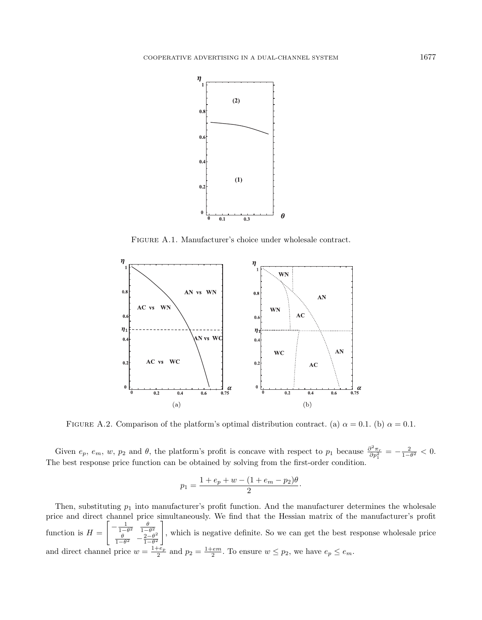<span id="page-22-0"></span>

FIGURE A.1. Manufacturer's choice under wholesale contract.

<span id="page-22-1"></span>

FIGURE A.2. Comparison of the platform's optimal distribution contract. (a)  $\alpha = 0.1$ . (b)  $\alpha = 0.1$ .

Given  $e_p$ ,  $e_m$ ,  $w$ ,  $p_2$  and  $\theta$ , the platform's profit is concave with respect to  $p_1$  because  $\frac{\partial^2 \pi_r}{\partial p_1^2} = -\frac{2}{1-\theta^2} < 0$ . The best response price function can be obtained by solving from the first-order condition.

$$
p_1 = \frac{1 + e_p + w - (1 + e_m - p_2)\theta}{2}
$$

·

Then, substituting  $p_1$  into manufacturer's profit function. And the manufacturer determines the wholesale price and direct channel price simultaneously. We find that the Hessian matrix of the manufacturer's profit function is  $H =$  $\left[ \begin{array}{rrr} -\frac{1}{1-\theta^2} & \frac{\theta}{1-\theta^2} \\ \frac{\theta}{1-\theta^2} & -\frac{2-\theta^2}{1-\theta^2} \end{array} \right]$  $1-\theta^2$ ]︃ , which is negative definite. So we can get the best response wholesale price and direct channel price  $w = \frac{1+e_p}{2}$  and  $p_2 = \frac{1+em}{2}$ . To ensure  $w \leq p_2$ , we have  $e_p \leq e_m$ .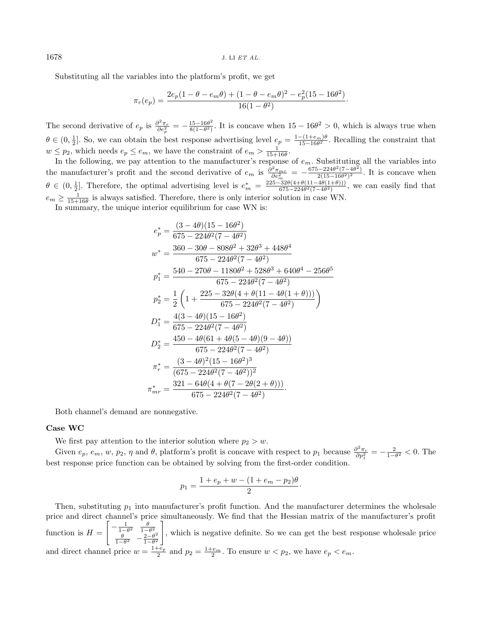Substituting all the variables into the platform's profit, we get

$$
\pi_r(e_p) = \frac{2e_p(1 - \theta - e_m\theta) + (1 - \theta - e_m\theta)^2 - e_p^2(15 - 16\theta^2)}{16(1 - \theta^2)}.
$$

The second derivative of  $e_p$  is  $\frac{\partial^2 \pi_r}{\partial e_p^2} = -\frac{15-16\theta^2}{8(1-\theta^2)}$  $\frac{15-16\theta^2}{8(1-\theta^2)}$ . It is concave when  $15-16\theta^2>0$ , which is always true when  $\theta \in (0, \frac{1}{2}]$ . So, we can obtain the best response advertising level  $e_p = \frac{1-(1+e_m)\theta}{15-16\theta^2}$ . Recalling the constraint that  $w \leq p_2$ , which needs  $e_p \leq e_m$ , we have the constraint of  $e_m > \frac{1}{15+16\theta}$ .

In the following, we pay attention to the manufacturer's response of  $e_m$ . Substituting all the variables into  $\ln$  the following, we pay attention to the manufacturer's response of  $e_m$ . Substituting all the variables in the manufacturer's profit and the second derivative of  $e_m$  is  $\frac{\partial^2 \pi_{mr}}{\partial e^2}$  $\frac{\partial^2 \pi_{mr}}{\partial e_m^2} = -\frac{675 - 224 \theta^2 (7 - 4 \theta^2)}{2(15 - 16 \theta^2)^2}$  $\frac{2-2240 (7-40)}{2(15-16\theta^2)^2}$ . It is concave when  $\theta \in (0, \frac{1}{2}]$ . Therefore, the optimal advertising level is  $e_m^* = \frac{225 - 32\theta(4 + \theta(11 - 4\theta(1+\theta)))}{675 - 224\theta^2(7-4\theta^2)}$  $\frac{-32\sigma(4+\sigma(11-4\sigma(1+\sigma)))}{675-224\sigma^2(7-4\sigma^2)}$ , we can easily find that  $e_m \geq \frac{1}{15+16\theta}$  is always satisfied. Therefore, there is only interior solution in case WN.

In summary, the unique interior equilibrium for case WN is:

$$
e_p^* = \frac{(3-4\theta)(15-16\theta^2)}{675-224\theta^2(7-4\theta^2)}
$$
  
\n
$$
w^* = \frac{360-30\theta-808\theta^2+32\theta^3+448\theta^4}{675-224\theta^2(7-4\theta^2)}
$$
  
\n
$$
p_1^* = \frac{540-270\theta-1180\theta^2+528\theta^3+640\theta^4-256\theta^5}{675-224\theta^2(7-4\theta^2)}
$$
  
\n
$$
p_2^* = \frac{1}{2}\left(1+\frac{225-32\theta(4+\theta(11-4\theta(1+\theta)))}{675-224\theta^2(7-4\theta^2)}\right)
$$
  
\n
$$
D_1^* = \frac{4(3-4\theta)(15-16\theta^2)}{675-224\theta^2(7-4\theta^2)}
$$
  
\n
$$
D_2^* = \frac{450-4\theta(61+4\theta(5-4\theta)(9-4\theta))}{675-224\theta^2(7-4\theta^2)}
$$
  
\n
$$
\pi_r^* = \frac{(3-4\theta)^2(15-16\theta^2)^3}{(675-224\theta^2(7-4\theta^2))^2}
$$
  
\n
$$
\pi_{mr}^* = \frac{321-64\theta(4+\theta(7-2\theta(2+\theta)))}{675-224\theta^2(7-4\theta^2)}
$$

Both channel's demand are nonnegative.

#### Case WC

We first pay attention to the interior solution where  $p_2 > w$ .

Given  $e_p, e_m, w, p_2, \eta$  and  $\theta$ , platform's profit is concave with respect to  $p_1$  because  $\frac{\partial^2 \pi_r}{\partial p_1^2} = -\frac{2}{1-\theta^2} < 0$ . The best response price function can be obtained by solving from the first-order condition.

$$
p_1 = \frac{1 + e_p + w - (1 + e_m - p_2)\theta}{2}
$$

·

Then, substituting  $p_1$  into manufacturer's profit function. And the manufacturer determines the wholesale price and direct channel's price simultaneously. We find that the Hessian matrix of the manufacturer's profit function is  $H =$  $\left[ \begin{array}{rrr} -\frac{1}{1-\theta^2} & \frac{\theta}{1-\theta^2} \\ \frac{\theta}{1-\theta^2} & -\frac{2-\theta^2}{1-\theta^2} \end{array} \right]$  $1-\theta^2$ ]︃ , which is negative definite. So we can get the best response wholesale price and direct channel price  $w = \frac{1+e_p}{2}$  and  $p_2 = \frac{1+e_m}{2}$ . To ensure  $w < p_2$ , we have  $e_p < e_m$ .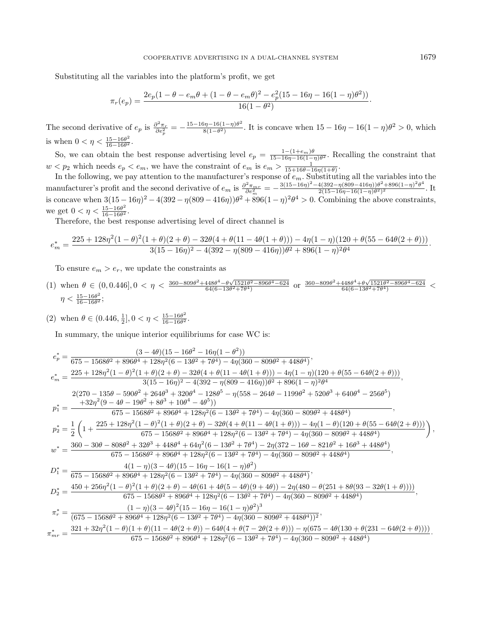Substituting all the variables into the platform's profit, we get

$$
\pi_r(e_p) = \frac{2e_p(1-\theta-e_m\theta+(1-\theta-e_m\theta)^2-e_p^2(15-16\eta-16(1-\eta)\theta^2))}{16(1-\theta^2)}.
$$

The second derivative of  $e_p$  is  $\frac{\partial^2 \pi_r}{\partial e_p^2} = -\frac{15 - 16\eta - 16(1-\eta)\theta^2}{8(1-\theta^2)}$  $\frac{3n-16(1-\eta)\theta^2}{8(1-\theta^2)}$ . It is concave when  $15-16\eta-16(1-\eta)\theta^2>0$ , which is when  $0 < \eta < \frac{15 - 16\theta^2}{16 - 16\theta^2}$ .  $16-16\theta$ 

So, we can obtain the best response advertising level  $e_p = \frac{1-(1+e_m)\theta}{15-16\eta-16(1-\eta)\theta^2}$ . Recalling the constraint that  $w < p_2$  which needs  $e_p < e_m$ , we have the constraint of  $e_m$  is  $e_m > \frac{1}{15+16\theta-16\eta(1+\theta)}$ .

In the following, we pay attention to the manufacturer's response of  $e_m$ . Substituting all the variables into the manufacturer's profit and the second derivative of  $e_m$  is  $\frac{\partial^2 \pi_{mn}}{\partial e^2}$  $\frac{\partial^2 \pi_{mr}}{\partial e_m^2} = -\frac{3(15-16\eta)^2-4(392-\eta(809-416\eta))\theta^2+896(1-\eta)^2\theta^4}{2(15-16\eta-16(1-\eta)\theta^2)^2}$  $\frac{4(392-\eta(809-410\eta))\theta+896(1-\eta)}{2(15-16\eta-16(1-\eta)\theta^2)^2}$ . It is concave when  $3(15-16\eta)^2 - 4(392-\eta(809-416\eta))\theta^2 + 896(1-\eta)^2\theta^4 > 0$ . Combining the above constraints, we get  $0 < \eta < \frac{15 - 16\theta^2}{16 - 16\theta^2}$ .

Therefore, the best response advertising level of direct channel is

$$
e^*_m = \frac{225 + 128 \eta^2 (1-\theta)^2 (1+\theta) (2+\theta) - 32 \theta (4+\theta (11-4\theta (1+\theta))) - 4 \eta (1-\eta) (120+\theta (55-64\theta (2+\theta)))}{3 (15-16 \eta)^2 - 4 (392 - \eta (809-416 \eta)) \theta^2 + 896 (1-\eta)^2 \theta^4}
$$

To ensure  $e_m > e_r$ , we update the constraints as

(1) when 
$$
\theta \in (0, 0.446]
$$
,  $0 < \eta < \frac{360 - 809\theta^2 + 448\theta^4 - \theta\sqrt{1521\theta^2 - 896\theta^4 - 624}}{64(6 - 13\theta^2 + 7\theta^4)}$  or  $\frac{360 - 809\theta^2 + 448\theta^4 + \theta\sqrt{1521\theta^2 - 896\theta^4 - 624}}{64(6 - 13\theta^2 + 7\theta^4)}$ 

(2) when  $\theta \in (0.446, \frac{1}{2}], 0 < \eta < \frac{15 - 16\theta^2}{16 - 16\theta^2}$  $\frac{15-16\theta^2}{16-16\theta^2}$ .

In summary, the unique interior equilibriums for case WC is:

$$
\begin{split} e^*_p&=\frac{(3-4\theta)(15-16\theta^2-16\eta(1-\theta^2))}{675-1568\theta^2+896\theta^4+128\eta^2(6-13\theta^2+7\theta^4)-4\eta(360-809\theta^2+448\theta^4)},\\ e^*_m&=\frac{225+128\eta^2(1-\theta)^2(1+\theta)(2+\theta)-32\theta(4+\theta(11-4\theta(1+\theta)))-4\eta(1-\eta)(120+\theta(55-64\theta(2+\theta)))}{3(15-16\eta)^2-4(392-\eta(809-416\eta))\theta^2+896(1-\eta)^2\theta^4},\\ &\phantom{=}2(270-135\theta-590\theta^2+264\theta^3+320\theta^4-128\theta^5-\eta(558-264\theta-1199\theta^2+520\theta^3+640\theta^4-256\theta^5)\\ p^*_1&=\frac{+32\eta^2(9-4\theta-19\theta^2+8\theta^3+10\theta^4-4\theta^5)}{675-1568\theta^2+896\theta^4+128\eta^2(6-13\theta^2+7\theta^4)-4\eta(360-809\theta^2+448\theta^4)}\,,\\ p^*_2&=\frac{1}{2}\left(1+\frac{225+128\eta^2(1-\theta)^2(1+\theta)(2+\theta)-32\theta(4+\theta(11-4\theta(1+\theta)))-4\eta(1-\theta)(120+\theta(55-64\theta(2+\theta)))}{675-1568\theta^2+896\theta^4+128\eta^2(6-13\theta^2+7\theta^4)-2\eta(372-16\theta-821\theta^2+16\theta^3+448\theta^4)}\,,\\ w^*&=\frac{360-30\theta-808\theta^2+32\theta^3+448\theta^4+64\eta^2(6-13\theta^2+7\theta^4)-2\eta(372-16\theta-821\theta^2+16\theta^3+448\theta^4)}{675-1568\theta^2+896\theta^4+128\eta^2(
$$

·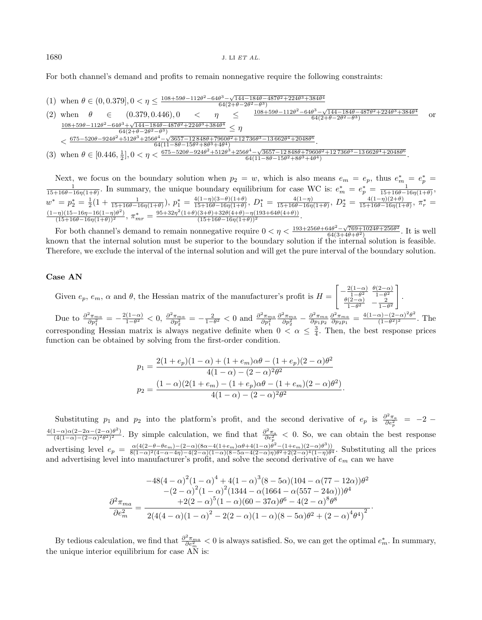For both channel's demand and profits to remain nonnegative require the following constraints:

(1) when  $\theta \in (0, 0.379], 0 < \eta \leq \frac{108 + 59\theta - 112\theta^2 - 64\theta^3 - \sqrt{144 - 184\theta - 487\theta^2 + 224\theta^3 + 384\theta^4}}{64(2 + \theta - 2\theta^2 - \theta^3)}$ 

(2) when 
$$
\theta \in (0.379, 0.446), 0 < \eta \leq \frac{108 + 59\theta - 112\theta^2 - 64\theta^3 - \sqrt{144 - 184\theta - 487\theta^2 + 224\theta^3 + 384\theta^4}}{64(2 + \theta - 2\theta^2 - \theta^3)}
$$
 or   
\n $\frac{108 + 59\theta - 112\theta^2 - 64\theta^3 + \sqrt{144 - 184\theta - 487\theta^2 + 224\theta^3 + 384\theta^4}}{64(2 + \theta - 2\theta^2 - \theta^3)} \le \eta$   
\n $< \frac{675 - 520\theta - 924\theta^2 + 512\theta^3 + 256\theta^4 - \sqrt{3657 - 12848\theta + 7960\theta^2 + 12736\theta^3 - 13662\theta^4 + 2048\theta^6}}{64(11 - 8\theta - 15\theta^2 + 8\theta^3 + 4\theta^4)}$   
\n(3) when  $\theta \in [0.446, \frac{1}{2}], 0 < \eta < \frac{675 - 520\theta - 924\theta^2 + 512\theta^3 + 256\theta^4 - \sqrt{3657 - 12848\theta + 7960\theta^2 + 12736\theta^3 - 13662\theta^4 + 2048\theta^6}}{64(11 - 8\theta - 15\theta^2 + 8\theta^3 + 4\theta^4)}$ .

Next, we focus on the boundary solution when  $p_2 = w$ , which is also means  $e_m = e_p$ , thus  $e_m^* = e_p^* = \frac{1}{15+16\theta-16\eta(1+\theta)}$ . In summary, the unique boundary equilibrium for case WC is:  $e_m^* = e_p^* = \frac{1}{15+16\theta-16\eta(1+\theta)}$ .  $w^* = p_2^* = \frac{1}{2}(1 + \frac{1}{15+16\theta-16\eta(1+\theta)}), p_1^* = \frac{4(1-\eta)(3-\theta)(1+\theta)}{15+16\theta-16\eta(1+\theta)}$  $\frac{4(1-\eta)(3-\theta)(1+\theta)}{15+16\theta-16\eta(1+\theta)}$ ,  $D_1^* = \frac{4(1-\eta)}{15+16\theta-16\eta}$  $\frac{4(1-\eta)}{15+16\theta-16\eta(1+\theta)}$ ,  $D_2^* = \frac{4(1-\eta)(2+\theta)}{15+16\theta-16\eta(1-\theta)}$  $\frac{4(1-\eta)(2+\theta)}{15+16\theta-16\eta(1+\theta)}, \pi^*_r =$  $\frac{(1-\eta)(15-16\eta-16(1-\eta)\theta^2)}{(15+16\theta-16\eta(1+\theta))^2}$ ,  $\pi^*_{mr} = \frac{95+32\eta^2(1+\theta)(3+\theta)+32\theta(4+\theta)-\eta(193+64\theta(4+\theta))}{(15+16\theta-16\eta(1+\theta))^2}$ .

For both channel's demand to remain nonnegative require  $0 < \eta < \frac{193+256\theta+64\theta^2-\sqrt{769+1024\theta+256\theta^2}}{64(3+4\theta+\theta^2)}$ . It is well known that the internal solution must be superior to the boundary solution if the internal solution is feasible. Therefore, we exclude the interval of the internal solution and will get the pure interval of the boundary solution.

# Case AN

Given  $e_p, e_m, \alpha$  and  $\theta$ , the Hessian matrix of the manufacturer's profit is  $H =$  $\left[-\frac{2(1-\alpha)}{1-\theta^2}\right]$  $\frac{\theta(2-\alpha)}{1-\theta^2}$   $\frac{\theta(2-\alpha)}{1-\theta^2}$  $\theta(2-\alpha)$  1- $\theta^2$ <br>2  $\frac{1}{1-\theta^2}$   $-\frac{2}{1-\theta^2}$ ]︃ .

Due to  $\frac{\partial^2 \pi_{ma}}{\partial p_1^2} = -\frac{2(1-\alpha)}{1-\theta^2}$  $\frac{(1-\alpha)}{1-\theta^2}$  < 0,  $\frac{\partial^2 \pi_{ma}}{\partial p_2^2}$  =  $-\frac{2}{1-\theta^2}$  < 0 and  $\frac{\partial^2 \pi_{ma}}{\partial p_1^2}$  $\frac{\partial^2 \pi_{ma}}{\partial p_2^2} - \frac{\partial^2 \pi_{ma}}{\partial p_1p_2} \frac{\partial^2 \pi_{ma}}{\partial p_2p_1} = \frac{4(1-\alpha)-(2-\alpha)^2\theta^2}{(1-\theta^2)^2}$  $\frac{\alpha_1-(2-\alpha) \sigma}{(1-\theta^2)^2}$ . The corresponding Hessian matrix is always negative definite when  $0 < \alpha \leq \frac{3}{4}$ . Then, the best response prices function can be obtained by solving from the first-order condition.

$$
p_1 = \frac{2(1+e_p)(1-\alpha) + (1+e_m)\alpha\theta - (1+e_p)(2-\alpha)\theta^2}{4(1-\alpha) - (2-\alpha)^2\theta^2}
$$

$$
p_2 = \frac{(1-\alpha)(2(1+e_m) - (1+e_p)\alpha\theta - (1+e_m)(2-\alpha)\theta^2)}{4(1-\alpha) - (2-\alpha)^2\theta^2}.
$$

Substituting  $p_1$  and  $p_2$  into the platform's profit, and the second derivative of  $e_p$  is  $\frac{\partial^2 \pi_a}{\partial e_p^2} = -2$  $4(1-\alpha)\alpha(2-2\alpha-(2-\alpha)\theta^2)$  By simple colculation we find that  $\frac{\partial^2 \pi_a}{\partial \theta^2}$  < 0. So we can obtain the be  $\frac{(1-\alpha)\alpha(2-2\alpha-(2-\alpha)\theta^2)}{(4(1-\alpha)-(2-\alpha)^2\theta^2)^2}$ . By simple calculation, we find that  $\frac{\partial^2 \pi_a}{\partial e_p^2}$  < 0. So, we can obtain the best response advertising level  $e_p = \frac{\alpha(4(2-\theta-\theta e_m)-(2-\alpha)(8\alpha-4(1+e_m)\alpha\theta+4(1-\alpha)\theta^2-(1+e_m)(2-\alpha)\theta^3))}{8(1-\alpha)^2(4-\alpha-4n)-4(2-\alpha)(1-\alpha)(8-5\alpha-4(2-\alpha)n)\theta^2+2(2-\alpha)^4(1-n)\theta^3}$  $\frac{\alpha(4(2-\theta-\theta e_m)-2-\alpha)(8\alpha-4(1+e_m)\alpha\theta+4(1-\alpha)\theta-(1+e_m)(2-\alpha)\theta')}{8(1-\alpha)^2(4-\alpha-4\eta)-4(2-\alpha)(1-\alpha)(8-5\alpha-4(2-\alpha)\eta)\theta^2+2(2-\alpha)^4(1-\eta)\theta^4}$ . Substituting all the prices and advertising level into manufacturer's profit, and solve the second derivative of  $e_m$  can we have

$$
-48(4-\alpha)^2(1-\alpha)^4 + 4(1-\alpha)^3(8-5\alpha)(104-\alpha(77-12\alpha))\theta^2
$$

$$
-(2-\alpha)^2(1-\alpha)^2(1344-\alpha(1664-\alpha(557-24\alpha)))\theta^4
$$

$$
\frac{\partial^2 \pi_{ma}}{\partial e_m^2} = \frac{+2(2-\alpha)^5(1-\alpha)(60-37\alpha)\theta^6 - 4(2-\alpha)^8\theta^8}{2(4(4-\alpha)(1-\alpha)^2 - 2(2-\alpha)(1-\alpha)(8-5\alpha)\theta^2 + (2-\alpha)^4\theta^4)^2}.
$$

By tedious calculation, we find that  $\frac{\partial^2 \pi_{ma}}{\partial e^2}$  $\frac{\partial^2 \pi_{ma}}{\partial e_m^2} < 0$  is always satisfied. So, we can get the optimal  $e_m^*$ . In summary, the unique interior equilibrium for case AN is: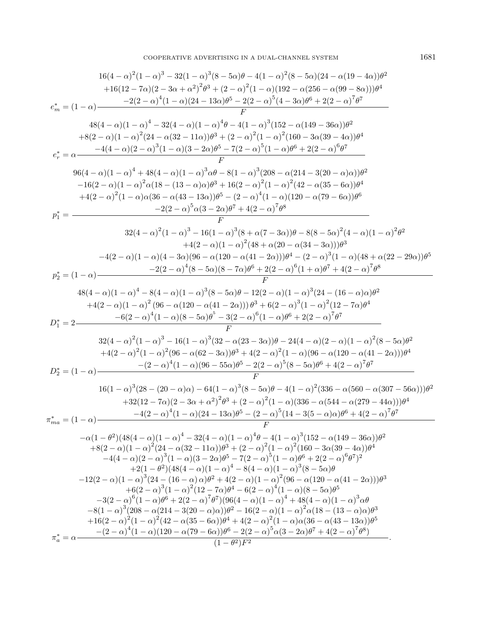COOPERATIVE ADVERTISING IN A DUAL-CHANNEL SYSTEM  $1681$ 

16(4-
$$
\alpha
$$
)<sup>2</sup>(1- $\alpha$ )<sup>3</sup> - 32(1- $\alpha$ )<sup>3</sup>(8-5 $\alpha$ ) $\theta$  - 4(1- $\alpha$ )<sup>2</sup>(8-5 $\alpha$ )(24- $\alpha$ (19-4 $\alpha$ )) $\theta$ <sup>2</sup>  
+16(12-7 $\alpha$ )(2-3 $\alpha$  +  $\alpha$ )<sup>2</sup> $\theta$ <sup>3</sup> + (2- $\alpha$ )<sup>2</sup>(1- $\alpha$ )(192- $\alpha$ (256- $\alpha$ (99-8 $\alpha$ )) $\theta$ <sup>4</sup>  
+ $\alpha$ (4- $\alpha$ )(1- $\alpha$ )<sup>4</sup> - 32(4- $\alpha$ )(1- $\alpha$ )<sup>4</sup> $\theta$ <sup>2</sup>(2- $\alpha$ )<sup>5</sup>(4-3 $\alpha$ ) $\theta$ <sup>6</sup> + 2(2- $\alpha$ )<sup>7</sup> $\theta$ <sup>7</sup>  
48(4- $\alpha$ )(1- $\alpha$ )<sup>4</sup> - 32(4- $\alpha$ )(1- $\alpha$ )<sup>4</sup> $\theta$ <sup>2</sup> + (2- $\alpha$ )<sup>5</sup>(1- $\alpha$ )<sup>2</sup>(160-3 $\alpha$ (39-4 $\alpha$ )) $\theta$ <sup>4</sup>  
 $e_r^* = \alpha$   
 $\frac{-4(4-\alpha)(2-\alpha)^3(1-\alpha)(3-2\alpha)^3\theta - 7(2-\alpha)^5(1-\alpha)^3(160-3\alpha(39-4\alpha))\theta^2}{P}$   
96(4- $\alpha$ )(1- $\alpha$ )<sup>4</sup> + 48(4- $\alpha$ )(1- $\alpha$ )<sup>3</sup> $\alpha$  $\theta$ <sup>6</sup> + 1(2- $\alpha$ )<sup>2</sup>(1- $\alpha$ ) $\theta$ <sup>7</sup>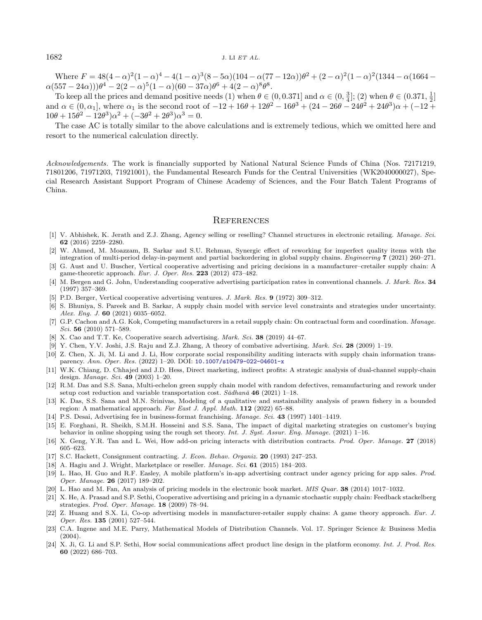Where  $F = 48(4 - \alpha)^2 (1 - \alpha)^4 - 4(1 - \alpha)^3 (8 - 5\alpha)(104 - \alpha(77 - 12\alpha))\theta^2 + (2 - \alpha)^2 (1 - \alpha)^2 (1344 - \alpha(1664 \alpha(557-24\alpha))\theta^4-2(2-\alpha)^5(1-\alpha)(60-37\alpha)\theta^6+4(2-\alpha)^8\theta^8.$ 

To keep all the prices and demand positive needs (1) when  $\theta \in (0, 0.371]$  and  $\alpha \in (0, \frac{3}{4}];$  (2) when  $\theta \in (0.371, \frac{1}{2}]$ and  $\alpha \in (0, \alpha_1]$ , where  $\alpha_1$  is the second root of  $-12 + 16\theta + 12\theta^2 - 16\theta^3 + (24 - 26\theta - 24\theta^2 + 24\theta^3)\alpha + (-12 +$  $10\theta + 15\theta^2 - 12\theta^3\alpha^2 + (-3\theta^2 + 2\theta^3)\alpha^3 = 0.$ 

<span id="page-27-17"></span><span id="page-27-10"></span>The case AC is totally similar to the above calculations and is extremely tedious, which we omitted here and resort to the numerical calculation directly.

<span id="page-27-11"></span><span id="page-27-7"></span><span id="page-27-5"></span><span id="page-27-0"></span>Acknowledgements. The work is financially supported by National Natural Science Funds of China (Nos. 72171219, 71801206, 71971203, 71921001), the Fundamental Research Funds for the Central Universities (WK2040000027), Special Research Assistant Support Program of Chinese Academy of Sciences, and the Four Batch Talent Programs of China.

# **REFERENCES**

- <span id="page-27-21"></span><span id="page-27-20"></span><span id="page-27-15"></span><span id="page-27-6"></span>[1] V. Abhishek, K. Jerath and Z.J. Zhang, Agency selling or reselling? Channel structures in electronic retailing. Manage. Sci. 62 (2016) 2259–2280.
- <span id="page-27-3"></span>[2] W. Ahmed, M. Moazzam, B. Sarkar and S.U. Rehman, Synergic effect of reworking for imperfect quality items with the integration of multi-period delay-in-payment and partial backordering in global supply chains. Engineering 7 (2021) 260–271.
- <span id="page-27-9"></span>[3] G. Aust and U. Buscher, Vertical cooperative advertising and pricing decisions in a manufacturer–cretailer supply chain: A game-theoretic approach. Eur. J. Oper. Res. 223 (2012) 473–482.
- <span id="page-27-12"></span>[4] M. Bergen and G. John, Understanding cooperative advertising participation rates in conventional channels. J. Mark. Res. 34 (1997) 357–369.
- <span id="page-27-4"></span>[5] P.D. Berger, Vertical cooperative advertising ventures. J. Mark. Res. 9 (1972) 309–312.
- <span id="page-27-8"></span>[6] S. Bhuniya, S. Pareek and B. Sarkar, A supply chain model with service level constraints and strategies under uncertainty. Alex. Eng. J. 60 (2021) 6035–6052.
- <span id="page-27-18"></span>[7] G.P. Cachon and A.G. Kok, Competing manufacturers in a retail supply chain: On contractual form and coordination. Manage. Sci. 56 (2010) 571–589.
- <span id="page-27-13"></span>[8] X. Cao and T.T. Ke, Cooperative search advertising. *Mark. Sci.* 38 (2019) 44–67.
- <span id="page-27-16"></span>[9] Y. Chen, Y.V. Joshi, J.S. Raju and Z.J. Zhang, A theory of combative advertising. Mark. Sci. 28 (2009) 1–19.
- <span id="page-27-14"></span>[10] Z. Chen, X. Ji, M. Li and J. Li, How corporate social responsibility auditing interacts with supply chain information transparency. Ann. Oper. Res. (2022) 1–20. DOI: [10.1007/s10479-022-04601-x](https://doi.org/10.1007/s10479-022-04601-x)
- [11] W.K. Chiang, D. Chhajed and J.D. Hess, Direct marketing, indirect profits: A strategic analysis of dual-channel supply-chain design. Manage. Sci. 49 (2003) 1–20.
- <span id="page-27-1"></span>[12] R.M. Das and S.S. Sana, Multi-echelon green supply chain model with random defectives, remanufacturing and rework under setup cost reduction and variable transportation cost.  $S\bar{a}dhan\bar{a}$  46 (2021) 1–18.
- <span id="page-27-2"></span>[13] K. Das, S.S. Sana and M.N. Srinivas, Modeling of a qualitative and sustainability analysis of prawn fishery in a bounded region: A mathematical approach. Far East J. Appl. Math. 112 (2022) 65–88.
- <span id="page-27-22"></span>[14] P.S. Desai, Advertising fee in business-format franchising. Manage. Sci. 43 (1997) 1401–1419.
- <span id="page-27-19"></span>[15] E. Forghani, R. Sheikh, S.M.H. Hosseini and S.S. Sana, The impact of digital marketing strategies on customer's buying behavior in online shopping using the rough set theory. Int. J. Syst. Assur. Eng. Manage. (2021) 1–16.
- [16] X. Geng, Y.R. Tan and L. Wei, How add-on pricing interacts with distribution contracts. Prod. Oper. Manage. 27 (2018) 605–623.
- [17] S.C. Hackett, Consignment contracting. J. Econ. Behav. Organiz. 20 (1993) 247–253.
- [18] A. Hagiu and J. Wright, Marketplace or reseller. Manage. Sci. 61 (2015) 184–203.
- [19] L. Hao, H. Guo and R.F. Easley, A mobile platform's in-app advertising contract under agency pricing for app sales. Prod. Oper. Manage. 26 (2017) 189–202.
- [20] L. Hao and M. Fan, An analysis of pricing models in the electronic book market. MIS Quar. 38 (2014) 1017–1032.
- [21] X. He, A. Prasad and S.P. Sethi, Cooperative advertising and pricing in a dynamic stochastic supply chain: Feedback stackelberg strategies. Prod. Oper. Manage. 18 (2009) 78–94.
- [22] Z. Huang and S.X. Li, Co-op advertising models in manufacturer-retailer supply chains: A game theory approach. Eur. J. Oper. Res. 135 (2001) 527–544.
- [23] C.A. Ingene and M.E. Parry, Mathematical Models of Distribution Channels. Vol. 17. Springer Science & Business Media  $(2004)$ .
- [24] X. Ji, G. Li and S.P. Sethi, How social communications affect product line design in the platform economy. Int. J. Prod. Res. 60 (2022) 686–703.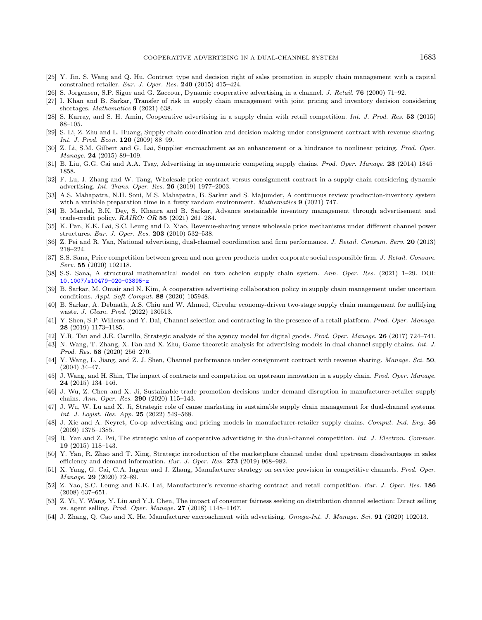- <span id="page-28-26"></span><span id="page-28-21"></span><span id="page-28-15"></span><span id="page-28-14"></span><span id="page-28-12"></span><span id="page-28-9"></span><span id="page-28-5"></span><span id="page-28-4"></span><span id="page-28-1"></span>[25] Y. Jin, S. Wang and Q. Hu, Contract type and decision right of sales promotion in supply chain management with a capital constrained retailer. Eur. J. Oper. Res. 240 (2015) 415–424.
- <span id="page-28-8"></span>[26] S. Jorgensen, S.P. Sigue and G. Zaccour, Dynamic cooperative advertising in a channel. J. Retail. **76** (2000) 71–92.
- [27] I. Khan and B. Sarkar, Transfer of risk in supply chain management with joint pricing and inventory decision considering shortages. Mathematics 9 (2021) 638.
- <span id="page-28-24"></span>[28] S. Karray, and S. H. Amin, Cooperative advertising in a supply chain with retail competition. Int. J. Prod. Res. 53 (2015) 88–105.
- <span id="page-28-11"></span>[29] S. Li, Z. Zhu and L. Huang, Supply chain coordination and decision making under consignment contract with revenue sharing. Int. J. Prod. Econ. 120 (2009) 88–99.
- <span id="page-28-16"></span>[30] Z. Li, S.M. Gilbert and G. Lai, Supplier encroachment as an enhancement or a hindrance to nonlinear pricing. Prod. Oper. Manage. 24 (2015) 89–109.
- <span id="page-28-17"></span>[31] B. Liu, G.G. Cai and A.A. Tsay, Advertising in asymmetric competing supply chains. Prod. Oper. Manage. 23 (2014) 1845– 1858.
- <span id="page-28-7"></span>[32] F. Lu, J. Zhang and W. Tang, Wholesale price contract versus consignment contract in a supply chain considering dynamic advertising. Int. Trans. Oper. Res. 26 (2019) 1977–2003.
- <span id="page-28-18"></span>[33] A.S. Mahapatra, N.H. Soni, M.S. Mahapatra, B. Sarkar and S. Majumder, A continuous review production-inventory system with a variable preparation time in a fuzzy random environment. *Mathematics* 9 (2021) 747.
- <span id="page-28-23"></span>[34] B. Mandal, B.K. Dey, S. Khanra and B. Sarkar, Advance sustainable inventory management through advertisement and trade-credit policy. RAIRO: OR 55 (2021) 261–284.
- <span id="page-28-22"></span><span id="page-28-0"></span>[35] K. Pan, K.K. Lai, S.C. Leung and D. Xiao, Revenue-sharing versus wholesale price mechanisms under different channel power structures. Eur. J. Oper. Res. 203 (2010) 532–538.
- <span id="page-28-19"></span>[36] Z. Pei and R. Yan, National advertising, dual-channel coordination and firm performance. J. Retail. Consum. Serv. 20 (2013) 218–224.
- <span id="page-28-25"></span>[37] S.S. Sana, Price competition between green and non green products under corporate social responsible firm. J. Retail. Consum. Serv. 55 (2020) 102118.
- <span id="page-28-28"></span>[38] S.S. Sana, A structural mathematical model on two echelon supply chain system. Ann. Oper. Res. (2021) 1–29. DOI: [10.1007/s10479-020-03895-z](https://doi.org/10.1007/s10479-020-03895-z)
- <span id="page-28-29"></span>[39] B. Sarkar, M. Omair and N. Kim, A cooperative advertising collaboration policy in supply chain management under uncertain conditions. Appl. Soft Comput. 88 (2020) 105948.
- <span id="page-28-2"></span>[40] B. Sarkar, A. Debnath, A.S. Chiu and W. Ahmed, Circular economy-driven two-stage supply chain management for nullifying waste. J. Clean. Prod. (2022) 130513.
- <span id="page-28-6"></span>[41] Y. Shen, S.P. Willems and Y. Dai, Channel selection and contracting in the presence of a retail platform. Prod. Oper. Manage. 28 (2019) 1173–1185.
- <span id="page-28-3"></span>[42] Y.R. Tan and J.E. Carrillo, Strategic analysis of the agency model for digital goods. Prod. Oper. Manage. 26 (2017) 724–741.
- [43] N. Wang, T. Zhang, X. Fan and X. Zhu, Game theoretic analysis for advertising models in dual-channel supply chains. Int. J. Prod. Res. 58 (2020) 256–270.
- <span id="page-28-10"></span>[44] Y. Wang, L. Jiang, and Z. J. Shen, Channel performance under consignment contract with revenue sharing. Manage. Sci. 50, (2004) 34–47.
- <span id="page-28-20"></span>[45] J. Wang, and H. Shin, The impact of contracts and competition on upstream innovation in a supply chain. Prod. Oper. Manage. 24 (2015) 134–146.
- <span id="page-28-27"></span>[46] J. Wu, Z. Chen and X. Ji, Sustainable trade promotion decisions under demand disruption in manufacturer-retailer supply chains. Ann. Oper. Res. 290 (2020) 115–143.
- <span id="page-28-13"></span>[47] J. Wu, W. Lu and X. Ji, Strategic role of cause marketing in sustainable supply chain management for dual-channel systems. Int. J. Logist. Res. App. 25 (2022) 549–568.
- [48] J. Xie and A. Neyret, Co-op advertising and pricing models in manufacturer-retailer supply chains. Comput. Ind. Eng. 56 (2009) 1375–1385.
- [49] R. Yan and Z. Pei, The strategic value of cooperative advertising in the dual-channel competition. Int. J. Electron. Commer. 19 (2015) 118–143.
- [50] Y. Yan, R. Zhao and T. Xing, Strategic introduction of the marketplace channel under dual upstream disadvantages in sales efficiency and demand information. Eur. J. Oper. Res. 273 (2019) 968–982.
- [51] X. Yang, G. Cai, C.A. Ingene and J. Zhang, Manufacturer strategy on service provision in competitive channels. Prod. Oper. Manage. 29 (2020) 72–89.
- [52] Z. Yao, S.C. Leung and K.K. Lai, Manufacturer's revenue-sharing contract and retail competition. Eur. J. Oper. Res. 186 (2008) 637–651.
- [53] Z. Yi, Y. Wang, Y. Liu and Y.J. Chen, The impact of consumer fairness seeking on distribution channel selection: Direct selling vs. agent selling. Prod. Oper. Manage. 27 (2018) 1148–1167.
- [54] J. Zhang, Q. Cao and X. He, Manufacturer encroachment with advertising. Omega-Int. J. Manage. Sci. 91 (2020) 102013.